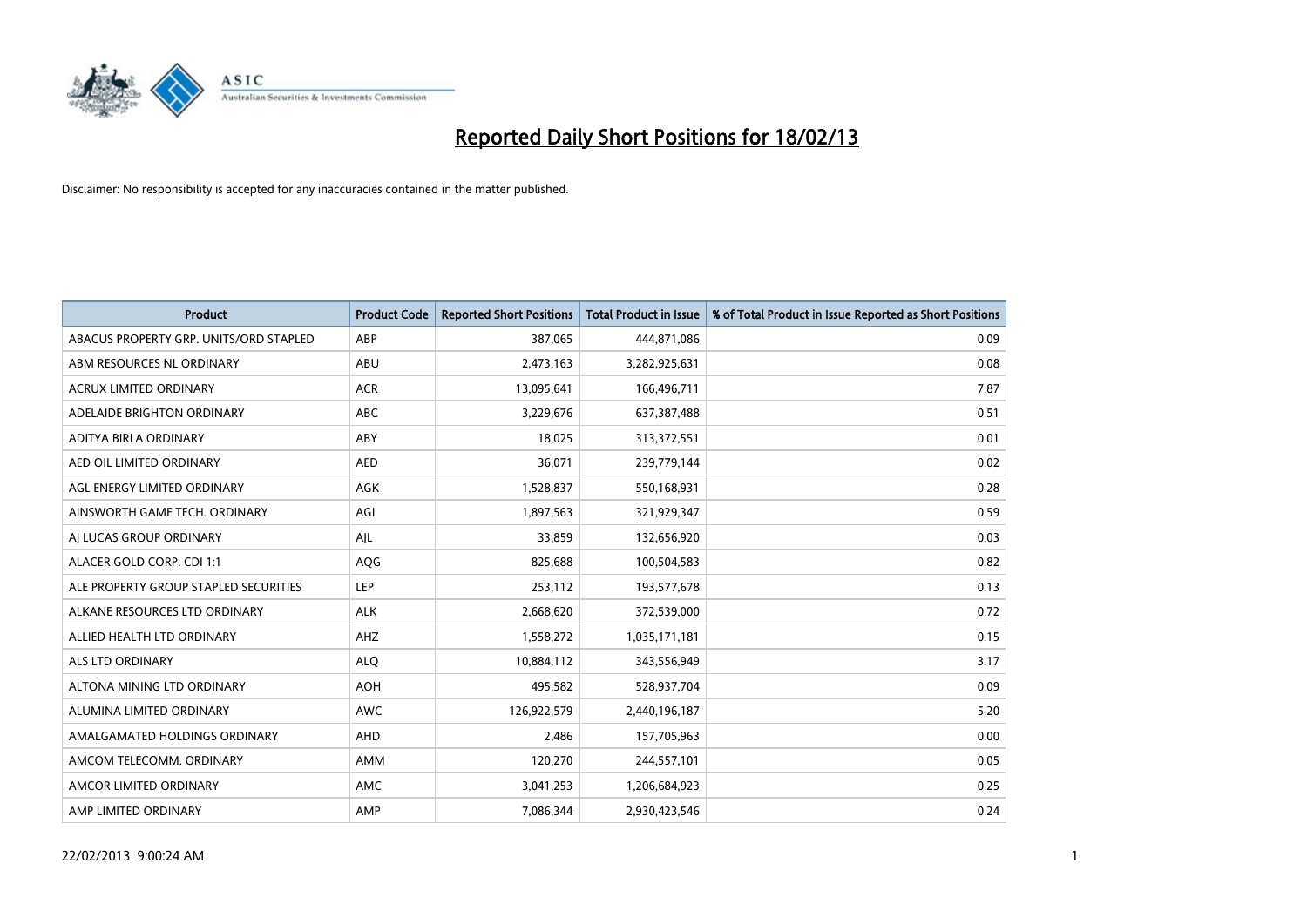

| <b>Product</b>                         | <b>Product Code</b> | <b>Reported Short Positions</b> | <b>Total Product in Issue</b> | % of Total Product in Issue Reported as Short Positions |
|----------------------------------------|---------------------|---------------------------------|-------------------------------|---------------------------------------------------------|
| ABACUS PROPERTY GRP. UNITS/ORD STAPLED | ABP                 | 387,065                         | 444,871,086                   | 0.09                                                    |
| ABM RESOURCES NL ORDINARY              | ABU                 | 2,473,163                       | 3,282,925,631                 | 0.08                                                    |
| <b>ACRUX LIMITED ORDINARY</b>          | <b>ACR</b>          | 13,095,641                      | 166,496,711                   | 7.87                                                    |
| ADELAIDE BRIGHTON ORDINARY             | <b>ABC</b>          | 3,229,676                       | 637, 387, 488                 | 0.51                                                    |
| ADITYA BIRLA ORDINARY                  | ABY                 | 18,025                          | 313,372,551                   | 0.01                                                    |
| AED OIL LIMITED ORDINARY               | <b>AED</b>          | 36,071                          | 239,779,144                   | 0.02                                                    |
| AGL ENERGY LIMITED ORDINARY            | AGK                 | 1,528,837                       | 550,168,931                   | 0.28                                                    |
| AINSWORTH GAME TECH. ORDINARY          | AGI                 | 1,897,563                       | 321,929,347                   | 0.59                                                    |
| AI LUCAS GROUP ORDINARY                | AJL                 | 33,859                          | 132,656,920                   | 0.03                                                    |
| ALACER GOLD CORP. CDI 1:1              | AQG                 | 825,688                         | 100,504,583                   | 0.82                                                    |
| ALE PROPERTY GROUP STAPLED SECURITIES  | <b>LEP</b>          | 253,112                         | 193,577,678                   | 0.13                                                    |
| ALKANE RESOURCES LTD ORDINARY          | <b>ALK</b>          | 2,668,620                       | 372,539,000                   | 0.72                                                    |
| ALLIED HEALTH LTD ORDINARY             | AHZ                 | 1,558,272                       | 1,035,171,181                 | 0.15                                                    |
| <b>ALS LTD ORDINARY</b>                | <b>ALO</b>          | 10,884,112                      | 343,556,949                   | 3.17                                                    |
| ALTONA MINING LTD ORDINARY             | <b>AOH</b>          | 495,582                         | 528,937,704                   | 0.09                                                    |
| ALUMINA LIMITED ORDINARY               | <b>AWC</b>          | 126,922,579                     | 2,440,196,187                 | 5.20                                                    |
| AMALGAMATED HOLDINGS ORDINARY          | AHD                 | 2,486                           | 157,705,963                   | 0.00                                                    |
| AMCOM TELECOMM, ORDINARY               | AMM                 | 120,270                         | 244,557,101                   | 0.05                                                    |
| AMCOR LIMITED ORDINARY                 | AMC                 | 3,041,253                       | 1,206,684,923                 | 0.25                                                    |
| AMP LIMITED ORDINARY                   | AMP                 | 7,086,344                       | 2,930,423,546                 | 0.24                                                    |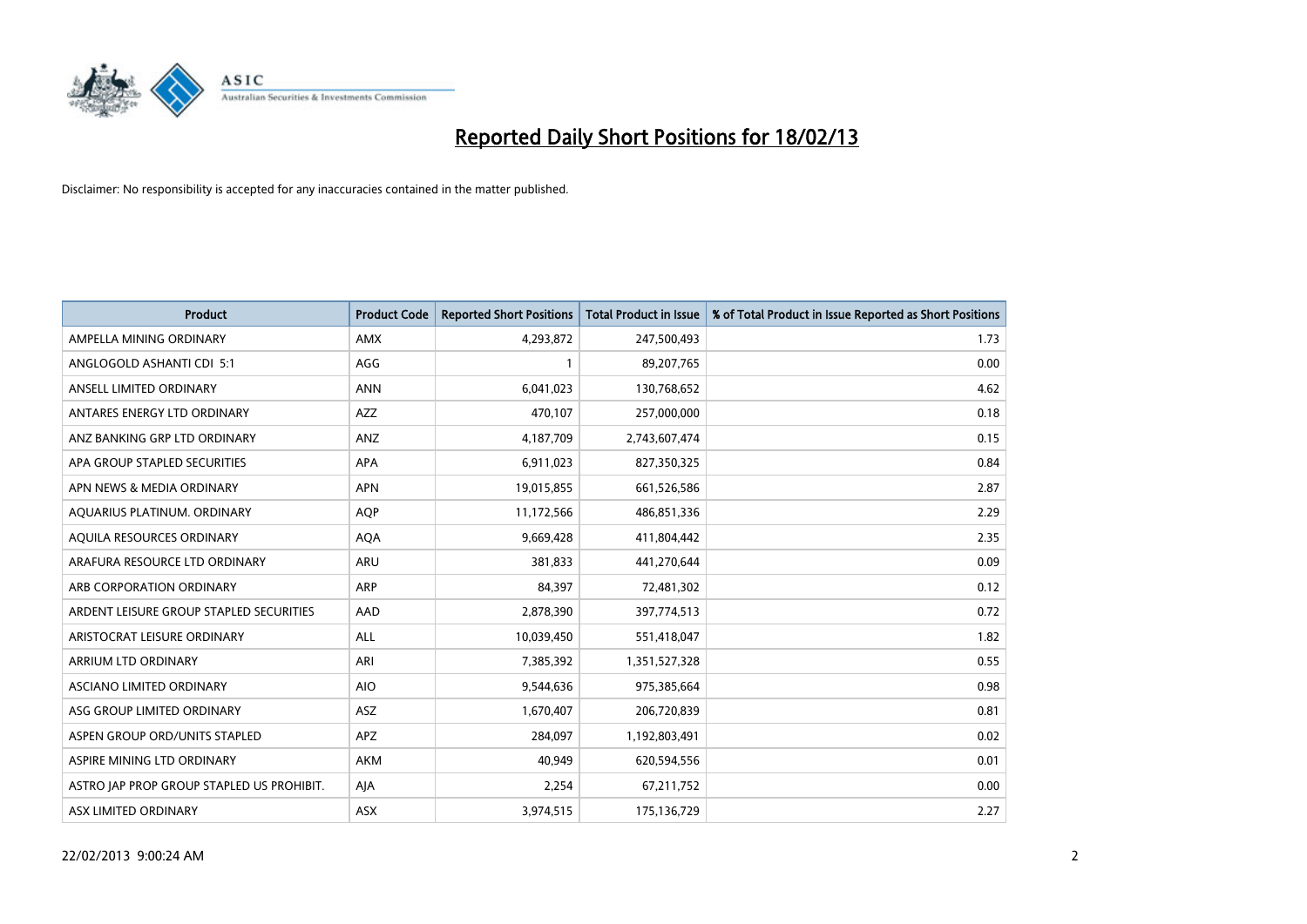

| <b>Product</b>                            | <b>Product Code</b> | <b>Reported Short Positions</b> | <b>Total Product in Issue</b> | % of Total Product in Issue Reported as Short Positions |
|-------------------------------------------|---------------------|---------------------------------|-------------------------------|---------------------------------------------------------|
| AMPELLA MINING ORDINARY                   | AMX                 | 4,293,872                       | 247,500,493                   | 1.73                                                    |
| ANGLOGOLD ASHANTI CDI 5:1                 | AGG                 |                                 | 89,207,765                    | 0.00                                                    |
| ANSELL LIMITED ORDINARY                   | <b>ANN</b>          | 6,041,023                       | 130,768,652                   | 4.62                                                    |
| ANTARES ENERGY LTD ORDINARY               | AZZ                 | 470,107                         | 257,000,000                   | 0.18                                                    |
| ANZ BANKING GRP LTD ORDINARY              | ANZ                 | 4,187,709                       | 2,743,607,474                 | 0.15                                                    |
| APA GROUP STAPLED SECURITIES              | APA                 | 6,911,023                       | 827,350,325                   | 0.84                                                    |
| APN NEWS & MEDIA ORDINARY                 | <b>APN</b>          | 19,015,855                      | 661,526,586                   | 2.87                                                    |
| AQUARIUS PLATINUM. ORDINARY               | AQP                 | 11,172,566                      | 486,851,336                   | 2.29                                                    |
| AQUILA RESOURCES ORDINARY                 | <b>AQA</b>          | 9,669,428                       | 411,804,442                   | 2.35                                                    |
| ARAFURA RESOURCE LTD ORDINARY             | <b>ARU</b>          | 381,833                         | 441,270,644                   | 0.09                                                    |
| ARB CORPORATION ORDINARY                  | ARP                 | 84,397                          | 72,481,302                    | 0.12                                                    |
| ARDENT LEISURE GROUP STAPLED SECURITIES   | AAD                 | 2,878,390                       | 397,774,513                   | 0.72                                                    |
| ARISTOCRAT LEISURE ORDINARY               | ALL                 | 10,039,450                      | 551,418,047                   | 1.82                                                    |
| ARRIUM LTD ORDINARY                       | ARI                 | 7,385,392                       | 1,351,527,328                 | 0.55                                                    |
| ASCIANO LIMITED ORDINARY                  | <b>AIO</b>          | 9,544,636                       | 975,385,664                   | 0.98                                                    |
| ASG GROUP LIMITED ORDINARY                | ASZ                 | 1,670,407                       | 206,720,839                   | 0.81                                                    |
| ASPEN GROUP ORD/UNITS STAPLED             | APZ                 | 284,097                         | 1,192,803,491                 | 0.02                                                    |
| ASPIRE MINING LTD ORDINARY                | AKM                 | 40,949                          | 620,594,556                   | 0.01                                                    |
| ASTRO JAP PROP GROUP STAPLED US PROHIBIT. | AJA                 | 2,254                           | 67,211,752                    | 0.00                                                    |
| ASX LIMITED ORDINARY                      | ASX                 | 3,974,515                       | 175,136,729                   | 2.27                                                    |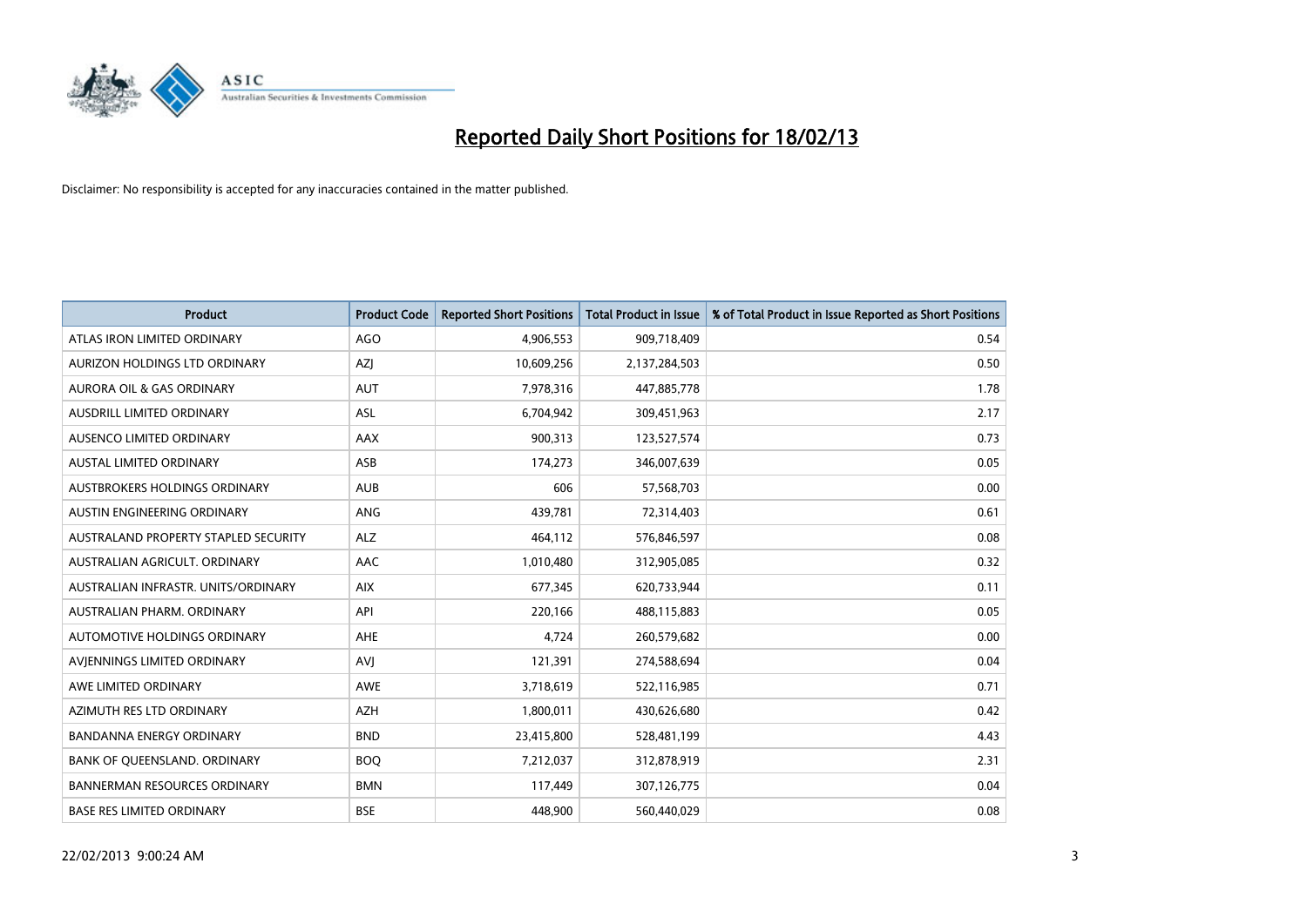

| <b>Product</b>                       | <b>Product Code</b> | <b>Reported Short Positions</b> | <b>Total Product in Issue</b> | % of Total Product in Issue Reported as Short Positions |
|--------------------------------------|---------------------|---------------------------------|-------------------------------|---------------------------------------------------------|
| ATLAS IRON LIMITED ORDINARY          | <b>AGO</b>          | 4,906,553                       | 909,718,409                   | 0.54                                                    |
| AURIZON HOLDINGS LTD ORDINARY        | AZJ                 | 10,609,256                      | 2,137,284,503                 | 0.50                                                    |
| AURORA OIL & GAS ORDINARY            | AUT                 | 7,978,316                       | 447,885,778                   | 1.78                                                    |
| AUSDRILL LIMITED ORDINARY            | ASL                 | 6,704,942                       | 309,451,963                   | 2.17                                                    |
| AUSENCO LIMITED ORDINARY             | <b>AAX</b>          | 900,313                         | 123,527,574                   | 0.73                                                    |
| <b>AUSTAL LIMITED ORDINARY</b>       | ASB                 | 174,273                         | 346,007,639                   | 0.05                                                    |
| AUSTBROKERS HOLDINGS ORDINARY        | <b>AUB</b>          | 606                             | 57,568,703                    | 0.00                                                    |
| AUSTIN ENGINEERING ORDINARY          | ANG                 | 439,781                         | 72,314,403                    | 0.61                                                    |
| AUSTRALAND PROPERTY STAPLED SECURITY | <b>ALZ</b>          | 464,112                         | 576,846,597                   | 0.08                                                    |
| AUSTRALIAN AGRICULT, ORDINARY        | <b>AAC</b>          | 1,010,480                       | 312,905,085                   | 0.32                                                    |
| AUSTRALIAN INFRASTR, UNITS/ORDINARY  | <b>AIX</b>          | 677,345                         | 620,733,944                   | 0.11                                                    |
| AUSTRALIAN PHARM, ORDINARY           | API                 | 220,166                         | 488,115,883                   | 0.05                                                    |
| AUTOMOTIVE HOLDINGS ORDINARY         | AHE                 | 4,724                           | 260,579,682                   | 0.00                                                    |
| AVIENNINGS LIMITED ORDINARY          | <b>AVI</b>          | 121,391                         | 274,588,694                   | 0.04                                                    |
| AWE LIMITED ORDINARY                 | <b>AWE</b>          | 3,718,619                       | 522,116,985                   | 0.71                                                    |
| AZIMUTH RES LTD ORDINARY             | AZH                 | 1,800,011                       | 430,626,680                   | 0.42                                                    |
| <b>BANDANNA ENERGY ORDINARY</b>      | <b>BND</b>          | 23,415,800                      | 528,481,199                   | 4.43                                                    |
| BANK OF QUEENSLAND. ORDINARY         | <b>BOQ</b>          | 7,212,037                       | 312,878,919                   | 2.31                                                    |
| <b>BANNERMAN RESOURCES ORDINARY</b>  | <b>BMN</b>          | 117,449                         | 307,126,775                   | 0.04                                                    |
| <b>BASE RES LIMITED ORDINARY</b>     | <b>BSE</b>          | 448,900                         | 560,440,029                   | 0.08                                                    |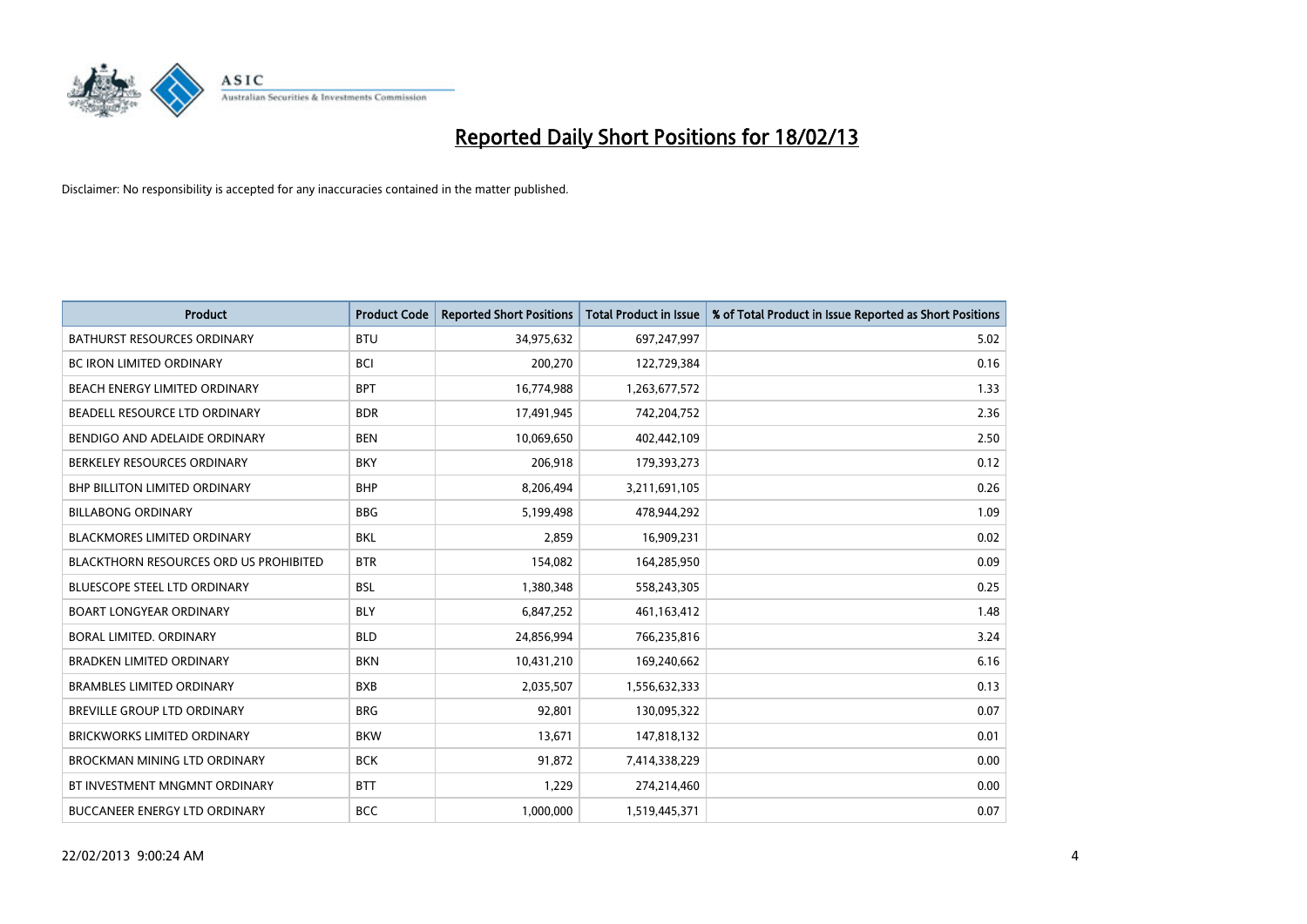

| <b>Product</b>                                | <b>Product Code</b> | <b>Reported Short Positions</b> | <b>Total Product in Issue</b> | % of Total Product in Issue Reported as Short Positions |
|-----------------------------------------------|---------------------|---------------------------------|-------------------------------|---------------------------------------------------------|
| <b>BATHURST RESOURCES ORDINARY</b>            | <b>BTU</b>          | 34,975,632                      | 697,247,997                   | 5.02                                                    |
| BC IRON LIMITED ORDINARY                      | <b>BCI</b>          | 200,270                         | 122,729,384                   | 0.16                                                    |
| BEACH ENERGY LIMITED ORDINARY                 | <b>BPT</b>          | 16,774,988                      | 1,263,677,572                 | 1.33                                                    |
| BEADELL RESOURCE LTD ORDINARY                 | <b>BDR</b>          | 17,491,945                      | 742,204,752                   | 2.36                                                    |
| BENDIGO AND ADELAIDE ORDINARY                 | <b>BEN</b>          | 10,069,650                      | 402,442,109                   | 2.50                                                    |
| BERKELEY RESOURCES ORDINARY                   | <b>BKY</b>          | 206,918                         | 179,393,273                   | 0.12                                                    |
| <b>BHP BILLITON LIMITED ORDINARY</b>          | <b>BHP</b>          | 8,206,494                       | 3,211,691,105                 | 0.26                                                    |
| <b>BILLABONG ORDINARY</b>                     | <b>BBG</b>          | 5,199,498                       | 478,944,292                   | 1.09                                                    |
| <b>BLACKMORES LIMITED ORDINARY</b>            | <b>BKL</b>          | 2,859                           | 16,909,231                    | 0.02                                                    |
| <b>BLACKTHORN RESOURCES ORD US PROHIBITED</b> | <b>BTR</b>          | 154,082                         | 164,285,950                   | 0.09                                                    |
| BLUESCOPE STEEL LTD ORDINARY                  | BSL                 | 1,380,348                       | 558,243,305                   | 0.25                                                    |
| <b>BOART LONGYEAR ORDINARY</b>                | <b>BLY</b>          | 6,847,252                       | 461,163,412                   | 1.48                                                    |
| BORAL LIMITED, ORDINARY                       | <b>BLD</b>          | 24,856,994                      | 766,235,816                   | 3.24                                                    |
| <b>BRADKEN LIMITED ORDINARY</b>               | <b>BKN</b>          | 10,431,210                      | 169,240,662                   | 6.16                                                    |
| <b>BRAMBLES LIMITED ORDINARY</b>              | <b>BXB</b>          | 2,035,507                       | 1,556,632,333                 | 0.13                                                    |
| BREVILLE GROUP LTD ORDINARY                   | <b>BRG</b>          | 92,801                          | 130,095,322                   | 0.07                                                    |
| <b>BRICKWORKS LIMITED ORDINARY</b>            | <b>BKW</b>          | 13,671                          | 147,818,132                   | 0.01                                                    |
| <b>BROCKMAN MINING LTD ORDINARY</b>           | <b>BCK</b>          | 91,872                          | 7,414,338,229                 | 0.00                                                    |
| BT INVESTMENT MNGMNT ORDINARY                 | <b>BTT</b>          | 1,229                           | 274,214,460                   | 0.00                                                    |
| <b>BUCCANEER ENERGY LTD ORDINARY</b>          | <b>BCC</b>          | 1,000,000                       | 1,519,445,371                 | 0.07                                                    |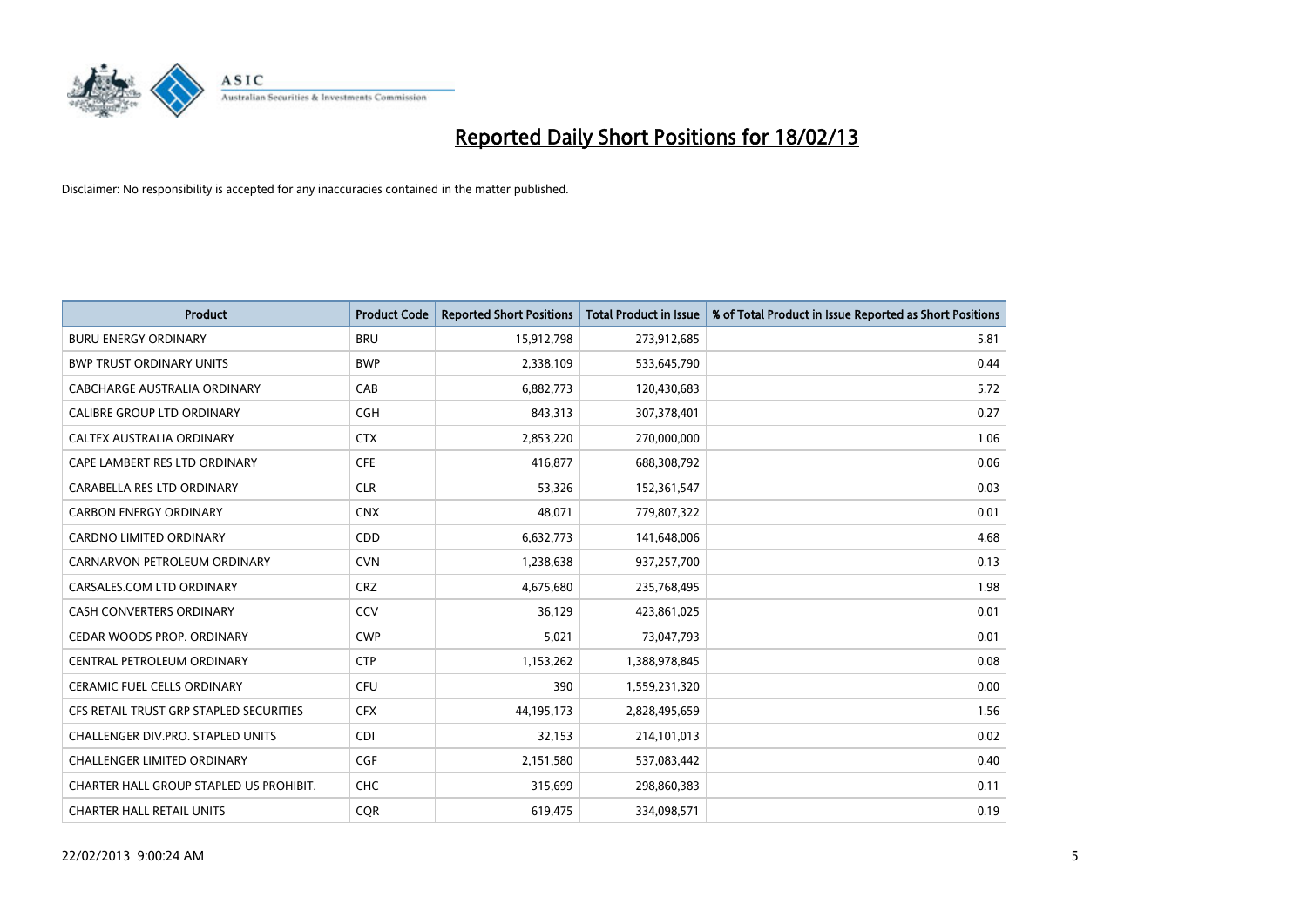

| <b>Product</b>                          | <b>Product Code</b> | <b>Reported Short Positions</b> | Total Product in Issue | % of Total Product in Issue Reported as Short Positions |
|-----------------------------------------|---------------------|---------------------------------|------------------------|---------------------------------------------------------|
| <b>BURU ENERGY ORDINARY</b>             | <b>BRU</b>          | 15,912,798                      | 273,912,685            | 5.81                                                    |
| <b>BWP TRUST ORDINARY UNITS</b>         | <b>BWP</b>          | 2,338,109                       | 533,645,790            | 0.44                                                    |
| CABCHARGE AUSTRALIA ORDINARY            | CAB                 | 6,882,773                       | 120,430,683            | 5.72                                                    |
| CALIBRE GROUP LTD ORDINARY              | <b>CGH</b>          | 843,313                         | 307,378,401            | 0.27                                                    |
| <b>CALTEX AUSTRALIA ORDINARY</b>        | <b>CTX</b>          | 2,853,220                       | 270,000,000            | 1.06                                                    |
| CAPE LAMBERT RES LTD ORDINARY           | <b>CFE</b>          | 416,877                         | 688,308,792            | 0.06                                                    |
| CARABELLA RES LTD ORDINARY              | <b>CLR</b>          | 53,326                          | 152,361,547            | 0.03                                                    |
| <b>CARBON ENERGY ORDINARY</b>           | <b>CNX</b>          | 48.071                          | 779,807,322            | 0.01                                                    |
| <b>CARDNO LIMITED ORDINARY</b>          | CDD                 | 6,632,773                       | 141,648,006            | 4.68                                                    |
| CARNARVON PETROLEUM ORDINARY            | <b>CVN</b>          | 1,238,638                       | 937,257,700            | 0.13                                                    |
| CARSALES.COM LTD ORDINARY               | <b>CRZ</b>          | 4,675,680                       | 235,768,495            | 1.98                                                    |
| <b>CASH CONVERTERS ORDINARY</b>         | <b>CCV</b>          | 36,129                          | 423,861,025            | 0.01                                                    |
| CEDAR WOODS PROP. ORDINARY              | <b>CWP</b>          | 5,021                           | 73,047,793             | 0.01                                                    |
| CENTRAL PETROLEUM ORDINARY              | <b>CTP</b>          | 1,153,262                       | 1,388,978,845          | 0.08                                                    |
| <b>CERAMIC FUEL CELLS ORDINARY</b>      | <b>CFU</b>          | 390                             | 1,559,231,320          | 0.00                                                    |
| CFS RETAIL TRUST GRP STAPLED SECURITIES | <b>CFX</b>          | 44,195,173                      | 2,828,495,659          | 1.56                                                    |
| CHALLENGER DIV.PRO. STAPLED UNITS       | <b>CDI</b>          | 32,153                          | 214,101,013            | 0.02                                                    |
| <b>CHALLENGER LIMITED ORDINARY</b>      | <b>CGF</b>          | 2,151,580                       | 537,083,442            | 0.40                                                    |
| CHARTER HALL GROUP STAPLED US PROHIBIT. | <b>CHC</b>          | 315,699                         | 298,860,383            | 0.11                                                    |
| <b>CHARTER HALL RETAIL UNITS</b>        | <b>COR</b>          | 619,475                         | 334,098,571            | 0.19                                                    |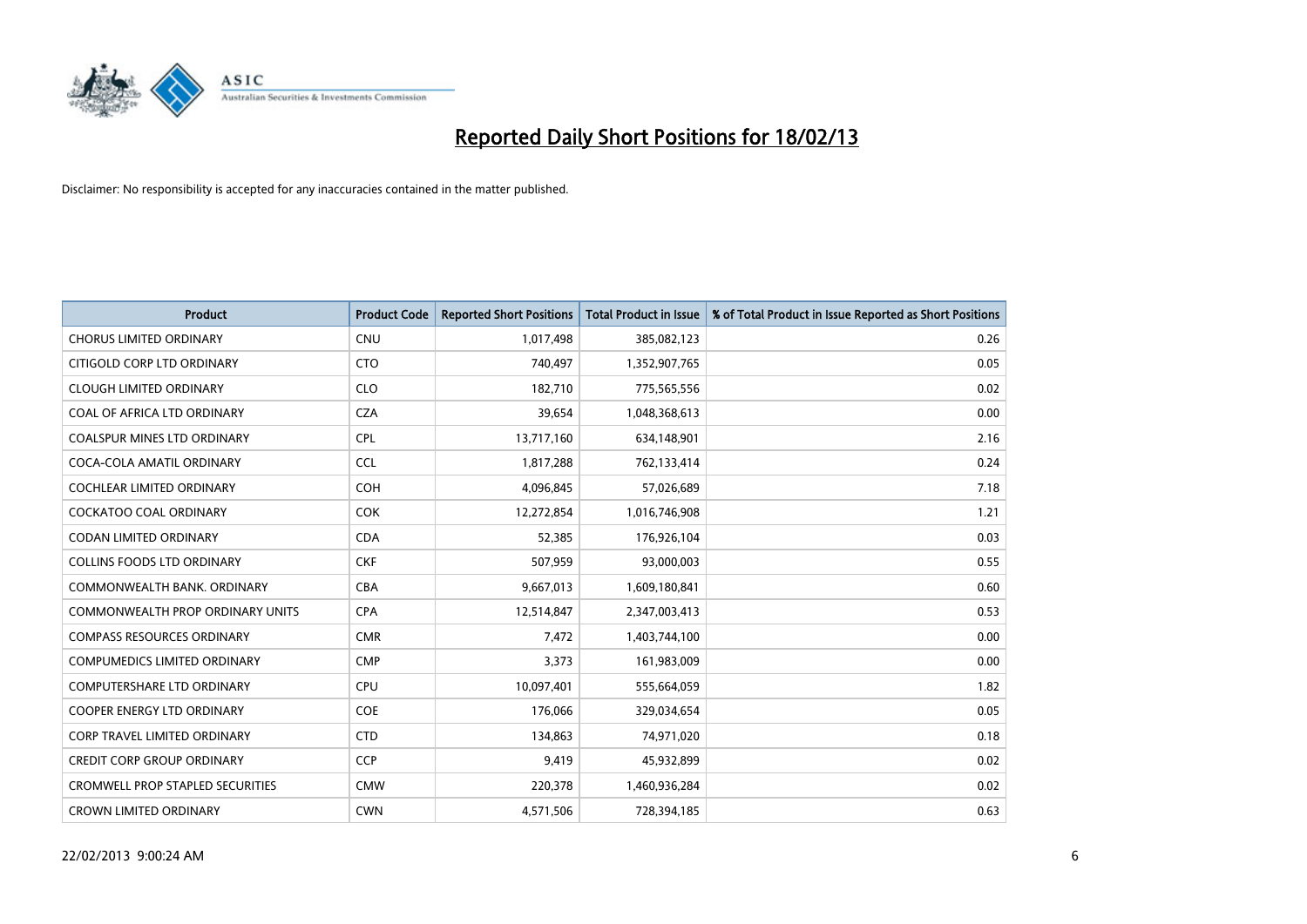

| <b>Product</b>                          | <b>Product Code</b> | <b>Reported Short Positions</b> | <b>Total Product in Issue</b> | % of Total Product in Issue Reported as Short Positions |
|-----------------------------------------|---------------------|---------------------------------|-------------------------------|---------------------------------------------------------|
| <b>CHORUS LIMITED ORDINARY</b>          | <b>CNU</b>          | 1,017,498                       | 385,082,123                   | 0.26                                                    |
| CITIGOLD CORP LTD ORDINARY              | <b>CTO</b>          | 740,497                         | 1,352,907,765                 | 0.05                                                    |
| <b>CLOUGH LIMITED ORDINARY</b>          | <b>CLO</b>          | 182,710                         | 775,565,556                   | 0.02                                                    |
| COAL OF AFRICA LTD ORDINARY             | <b>CZA</b>          | 39,654                          | 1,048,368,613                 | 0.00                                                    |
| <b>COALSPUR MINES LTD ORDINARY</b>      | <b>CPL</b>          | 13,717,160                      | 634,148,901                   | 2.16                                                    |
| COCA-COLA AMATIL ORDINARY               | <b>CCL</b>          | 1,817,288                       | 762,133,414                   | 0.24                                                    |
| <b>COCHLEAR LIMITED ORDINARY</b>        | <b>COH</b>          | 4,096,845                       | 57,026,689                    | 7.18                                                    |
| <b>COCKATOO COAL ORDINARY</b>           | <b>COK</b>          | 12,272,854                      | 1,016,746,908                 | 1.21                                                    |
| <b>CODAN LIMITED ORDINARY</b>           | <b>CDA</b>          | 52,385                          | 176,926,104                   | 0.03                                                    |
| <b>COLLINS FOODS LTD ORDINARY</b>       | <b>CKF</b>          | 507,959                         | 93,000,003                    | 0.55                                                    |
| COMMONWEALTH BANK, ORDINARY             | <b>CBA</b>          | 9,667,013                       | 1,609,180,841                 | 0.60                                                    |
| COMMONWEALTH PROP ORDINARY UNITS        | <b>CPA</b>          | 12,514,847                      | 2,347,003,413                 | 0.53                                                    |
| <b>COMPASS RESOURCES ORDINARY</b>       | <b>CMR</b>          | 7,472                           | 1,403,744,100                 | 0.00                                                    |
| <b>COMPUMEDICS LIMITED ORDINARY</b>     | <b>CMP</b>          | 3,373                           | 161,983,009                   | 0.00                                                    |
| <b>COMPUTERSHARE LTD ORDINARY</b>       | <b>CPU</b>          | 10,097,401                      | 555,664,059                   | 1.82                                                    |
| <b>COOPER ENERGY LTD ORDINARY</b>       | <b>COE</b>          | 176,066                         | 329,034,654                   | 0.05                                                    |
| CORP TRAVEL LIMITED ORDINARY            | <b>CTD</b>          | 134,863                         | 74,971,020                    | 0.18                                                    |
| <b>CREDIT CORP GROUP ORDINARY</b>       | <b>CCP</b>          | 9,419                           | 45,932,899                    | 0.02                                                    |
| <b>CROMWELL PROP STAPLED SECURITIES</b> | <b>CMW</b>          | 220,378                         | 1,460,936,284                 | 0.02                                                    |
| <b>CROWN LIMITED ORDINARY</b>           | <b>CWN</b>          | 4,571,506                       | 728,394,185                   | 0.63                                                    |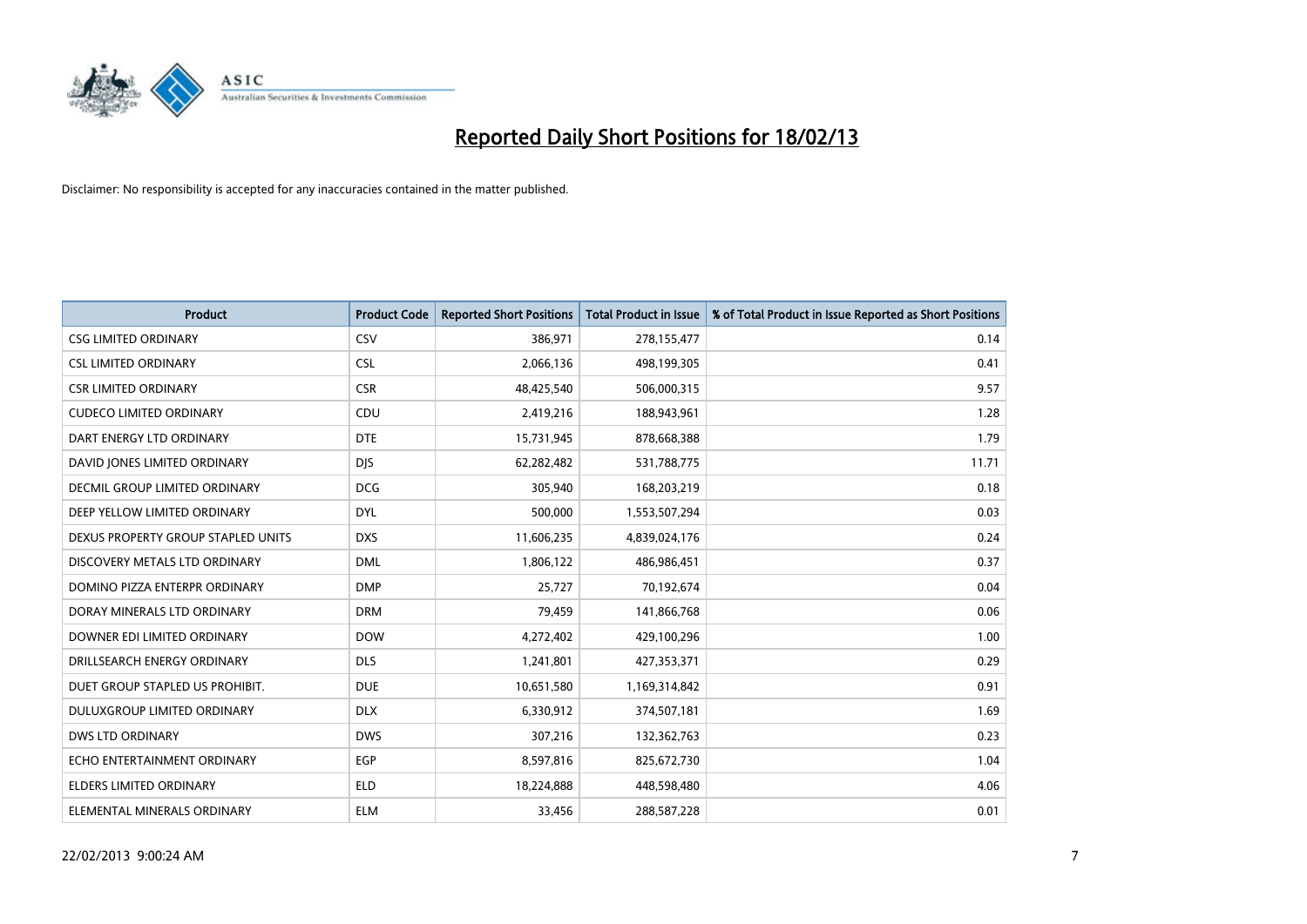

| <b>Product</b>                       | <b>Product Code</b> | <b>Reported Short Positions</b> | <b>Total Product in Issue</b> | % of Total Product in Issue Reported as Short Positions |
|--------------------------------------|---------------------|---------------------------------|-------------------------------|---------------------------------------------------------|
| <b>CSG LIMITED ORDINARY</b>          | CSV                 | 386,971                         | 278,155,477                   | 0.14                                                    |
| <b>CSL LIMITED ORDINARY</b>          | <b>CSL</b>          | 2,066,136                       | 498,199,305                   | 0.41                                                    |
| <b>CSR LIMITED ORDINARY</b>          | <b>CSR</b>          | 48,425,540                      | 506,000,315                   | 9.57                                                    |
| <b>CUDECO LIMITED ORDINARY</b>       | CDU                 | 2,419,216                       | 188,943,961                   | 1.28                                                    |
| DART ENERGY LTD ORDINARY             | <b>DTE</b>          | 15,731,945                      | 878,668,388                   | 1.79                                                    |
| DAVID JONES LIMITED ORDINARY         | <b>DJS</b>          | 62,282,482                      | 531,788,775                   | 11.71                                                   |
| <b>DECMIL GROUP LIMITED ORDINARY</b> | <b>DCG</b>          | 305,940                         | 168,203,219                   | 0.18                                                    |
| DEEP YELLOW LIMITED ORDINARY         | <b>DYL</b>          | 500,000                         | 1,553,507,294                 | 0.03                                                    |
| DEXUS PROPERTY GROUP STAPLED UNITS   | <b>DXS</b>          | 11,606,235                      | 4,839,024,176                 | 0.24                                                    |
| DISCOVERY METALS LTD ORDINARY        | <b>DML</b>          | 1,806,122                       | 486,986,451                   | 0.37                                                    |
| DOMINO PIZZA ENTERPR ORDINARY        | <b>DMP</b>          | 25,727                          | 70,192,674                    | 0.04                                                    |
| DORAY MINERALS LTD ORDINARY          | <b>DRM</b>          | 79,459                          | 141,866,768                   | 0.06                                                    |
| DOWNER EDI LIMITED ORDINARY          | <b>DOW</b>          | 4,272,402                       | 429,100,296                   | 1.00                                                    |
| DRILLSEARCH ENERGY ORDINARY          | <b>DLS</b>          | 1,241,801                       | 427,353,371                   | 0.29                                                    |
| DUET GROUP STAPLED US PROHIBIT.      | <b>DUE</b>          | 10,651,580                      | 1,169,314,842                 | 0.91                                                    |
| DULUXGROUP LIMITED ORDINARY          | <b>DLX</b>          | 6,330,912                       | 374,507,181                   | 1.69                                                    |
| <b>DWS LTD ORDINARY</b>              | <b>DWS</b>          | 307,216                         | 132,362,763                   | 0.23                                                    |
| ECHO ENTERTAINMENT ORDINARY          | <b>EGP</b>          | 8,597,816                       | 825,672,730                   | 1.04                                                    |
| <b>ELDERS LIMITED ORDINARY</b>       | <b>ELD</b>          | 18,224,888                      | 448,598,480                   | 4.06                                                    |
| ELEMENTAL MINERALS ORDINARY          | <b>ELM</b>          | 33,456                          | 288,587,228                   | 0.01                                                    |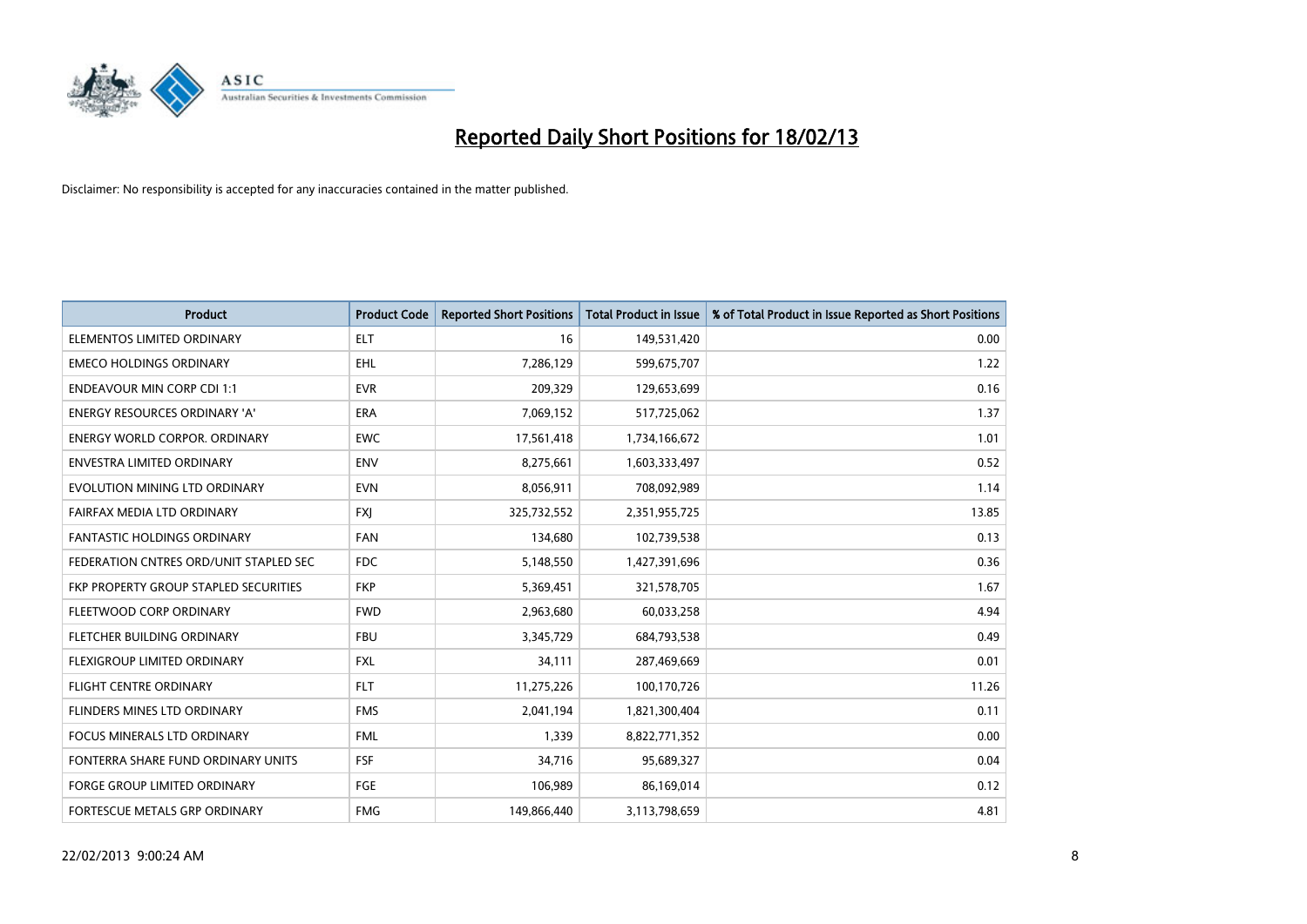

| <b>Product</b>                         | <b>Product Code</b> | <b>Reported Short Positions</b> | <b>Total Product in Issue</b> | % of Total Product in Issue Reported as Short Positions |
|----------------------------------------|---------------------|---------------------------------|-------------------------------|---------------------------------------------------------|
| ELEMENTOS LIMITED ORDINARY             | <b>ELT</b>          | 16                              | 149,531,420                   | 0.00                                                    |
| <b>EMECO HOLDINGS ORDINARY</b>         | EHL                 | 7,286,129                       | 599,675,707                   | 1.22                                                    |
| <b>ENDEAVOUR MIN CORP CDI 1:1</b>      | <b>EVR</b>          | 209,329                         | 129,653,699                   | 0.16                                                    |
| ENERGY RESOURCES ORDINARY 'A'          | <b>ERA</b>          | 7,069,152                       | 517,725,062                   | 1.37                                                    |
| <b>ENERGY WORLD CORPOR, ORDINARY</b>   | <b>EWC</b>          | 17,561,418                      | 1,734,166,672                 | 1.01                                                    |
| <b>ENVESTRA LIMITED ORDINARY</b>       | <b>ENV</b>          | 8,275,661                       | 1,603,333,497                 | 0.52                                                    |
| EVOLUTION MINING LTD ORDINARY          | <b>EVN</b>          | 8,056,911                       | 708,092,989                   | 1.14                                                    |
| FAIRFAX MEDIA LTD ORDINARY             | <b>FXJ</b>          | 325,732,552                     | 2,351,955,725                 | 13.85                                                   |
| <b>FANTASTIC HOLDINGS ORDINARY</b>     | <b>FAN</b>          | 134,680                         | 102,739,538                   | 0.13                                                    |
| FEDERATION CNTRES ORD/UNIT STAPLED SEC | FDC                 | 5,148,550                       | 1,427,391,696                 | 0.36                                                    |
| FKP PROPERTY GROUP STAPLED SECURITIES  | <b>FKP</b>          | 5,369,451                       | 321,578,705                   | 1.67                                                    |
| FLEETWOOD CORP ORDINARY                | <b>FWD</b>          | 2,963,680                       | 60,033,258                    | 4.94                                                    |
| FLETCHER BUILDING ORDINARY             | <b>FBU</b>          | 3,345,729                       | 684,793,538                   | 0.49                                                    |
| FLEXIGROUP LIMITED ORDINARY            | <b>FXL</b>          | 34,111                          | 287,469,669                   | 0.01                                                    |
| <b>FLIGHT CENTRE ORDINARY</b>          | <b>FLT</b>          | 11,275,226                      | 100,170,726                   | 11.26                                                   |
| FLINDERS MINES LTD ORDINARY            | <b>FMS</b>          | 2,041,194                       | 1,821,300,404                 | 0.11                                                    |
| FOCUS MINERALS LTD ORDINARY            | <b>FML</b>          | 1,339                           | 8,822,771,352                 | 0.00                                                    |
| FONTERRA SHARE FUND ORDINARY UNITS     | FSF                 | 34,716                          | 95,689,327                    | 0.04                                                    |
| <b>FORGE GROUP LIMITED ORDINARY</b>    | FGE                 | 106,989                         | 86,169,014                    | 0.12                                                    |
| FORTESCUE METALS GRP ORDINARY          | <b>FMG</b>          | 149,866,440                     | 3,113,798,659                 | 4.81                                                    |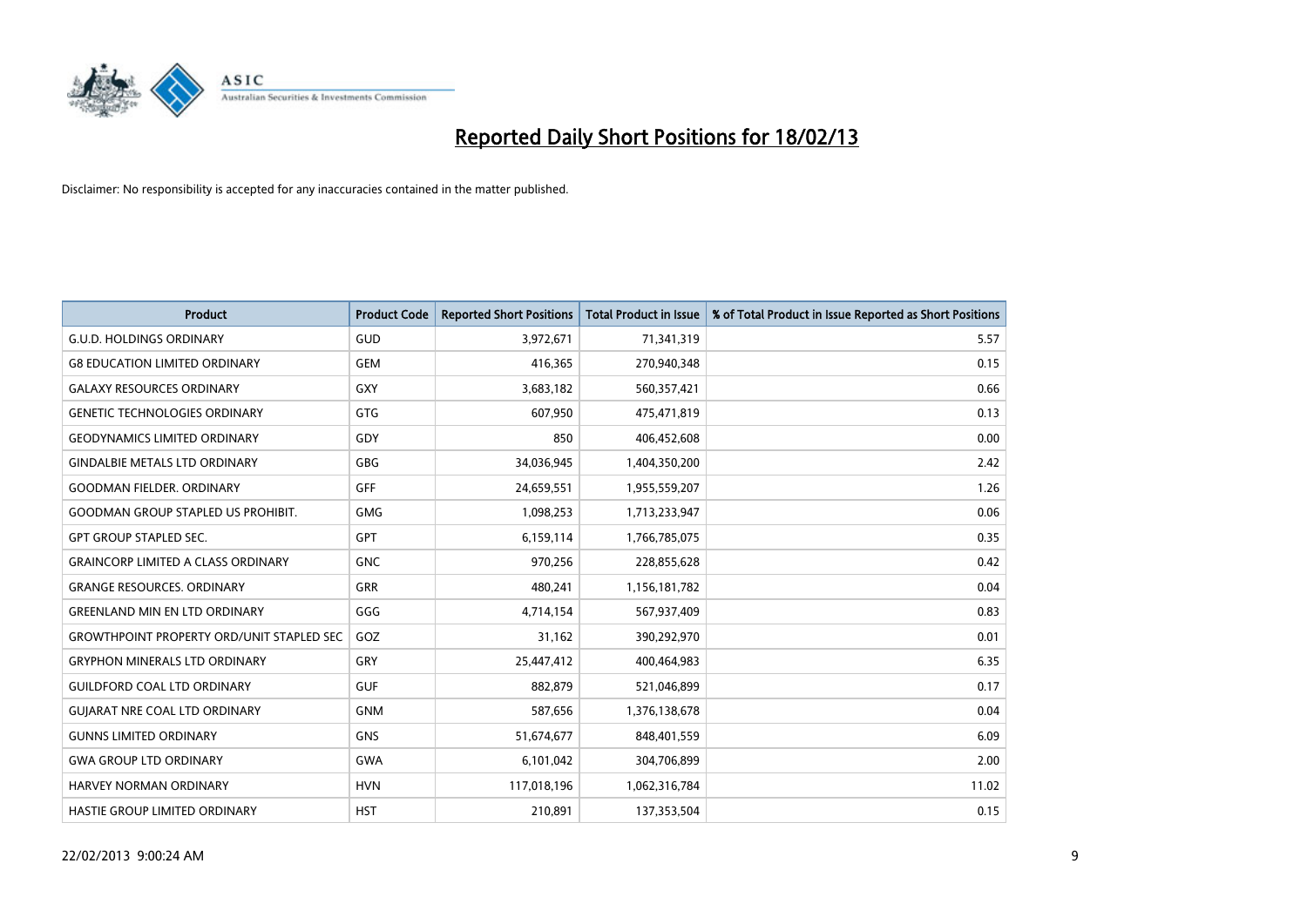

| <b>Product</b>                                   | <b>Product Code</b> | <b>Reported Short Positions</b> | <b>Total Product in Issue</b> | % of Total Product in Issue Reported as Short Positions |
|--------------------------------------------------|---------------------|---------------------------------|-------------------------------|---------------------------------------------------------|
| <b>G.U.D. HOLDINGS ORDINARY</b>                  | GUD                 | 3,972,671                       | 71,341,319                    | 5.57                                                    |
| <b>G8 EDUCATION LIMITED ORDINARY</b>             | <b>GEM</b>          | 416,365                         | 270,940,348                   | 0.15                                                    |
| <b>GALAXY RESOURCES ORDINARY</b>                 | GXY                 | 3,683,182                       | 560,357,421                   | 0.66                                                    |
| <b>GENETIC TECHNOLOGIES ORDINARY</b>             | <b>GTG</b>          | 607,950                         | 475,471,819                   | 0.13                                                    |
| <b>GEODYNAMICS LIMITED ORDINARY</b>              | GDY                 | 850                             | 406,452,608                   | 0.00                                                    |
| <b>GINDALBIE METALS LTD ORDINARY</b>             | GBG                 | 34,036,945                      | 1,404,350,200                 | 2.42                                                    |
| <b>GOODMAN FIELDER. ORDINARY</b>                 | GFF                 | 24,659,551                      | 1,955,559,207                 | 1.26                                                    |
| <b>GOODMAN GROUP STAPLED US PROHIBIT.</b>        | <b>GMG</b>          | 1,098,253                       | 1,713,233,947                 | 0.06                                                    |
| <b>GPT GROUP STAPLED SEC.</b>                    | GPT                 | 6,159,114                       | 1,766,785,075                 | 0.35                                                    |
| <b>GRAINCORP LIMITED A CLASS ORDINARY</b>        | <b>GNC</b>          | 970,256                         | 228,855,628                   | 0.42                                                    |
| <b>GRANGE RESOURCES. ORDINARY</b>                | <b>GRR</b>          | 480,241                         | 1,156,181,782                 | 0.04                                                    |
| <b>GREENLAND MIN EN LTD ORDINARY</b>             | GGG                 | 4,714,154                       | 567,937,409                   | 0.83                                                    |
| <b>GROWTHPOINT PROPERTY ORD/UNIT STAPLED SEC</b> | GOZ                 | 31,162                          | 390,292,970                   | 0.01                                                    |
| <b>GRYPHON MINERALS LTD ORDINARY</b>             | GRY                 | 25,447,412                      | 400,464,983                   | 6.35                                                    |
| <b>GUILDFORD COAL LTD ORDINARY</b>               | <b>GUF</b>          | 882,879                         | 521,046,899                   | 0.17                                                    |
| <b>GUIARAT NRE COAL LTD ORDINARY</b>             | <b>GNM</b>          | 587,656                         | 1,376,138,678                 | 0.04                                                    |
| <b>GUNNS LIMITED ORDINARY</b>                    | <b>GNS</b>          | 51,674,677                      | 848,401,559                   | 6.09                                                    |
| <b>GWA GROUP LTD ORDINARY</b>                    | <b>GWA</b>          | 6,101,042                       | 304,706,899                   | 2.00                                                    |
| <b>HARVEY NORMAN ORDINARY</b>                    | <b>HVN</b>          | 117,018,196                     | 1,062,316,784                 | 11.02                                                   |
| HASTIE GROUP LIMITED ORDINARY                    | <b>HST</b>          | 210,891                         | 137,353,504                   | 0.15                                                    |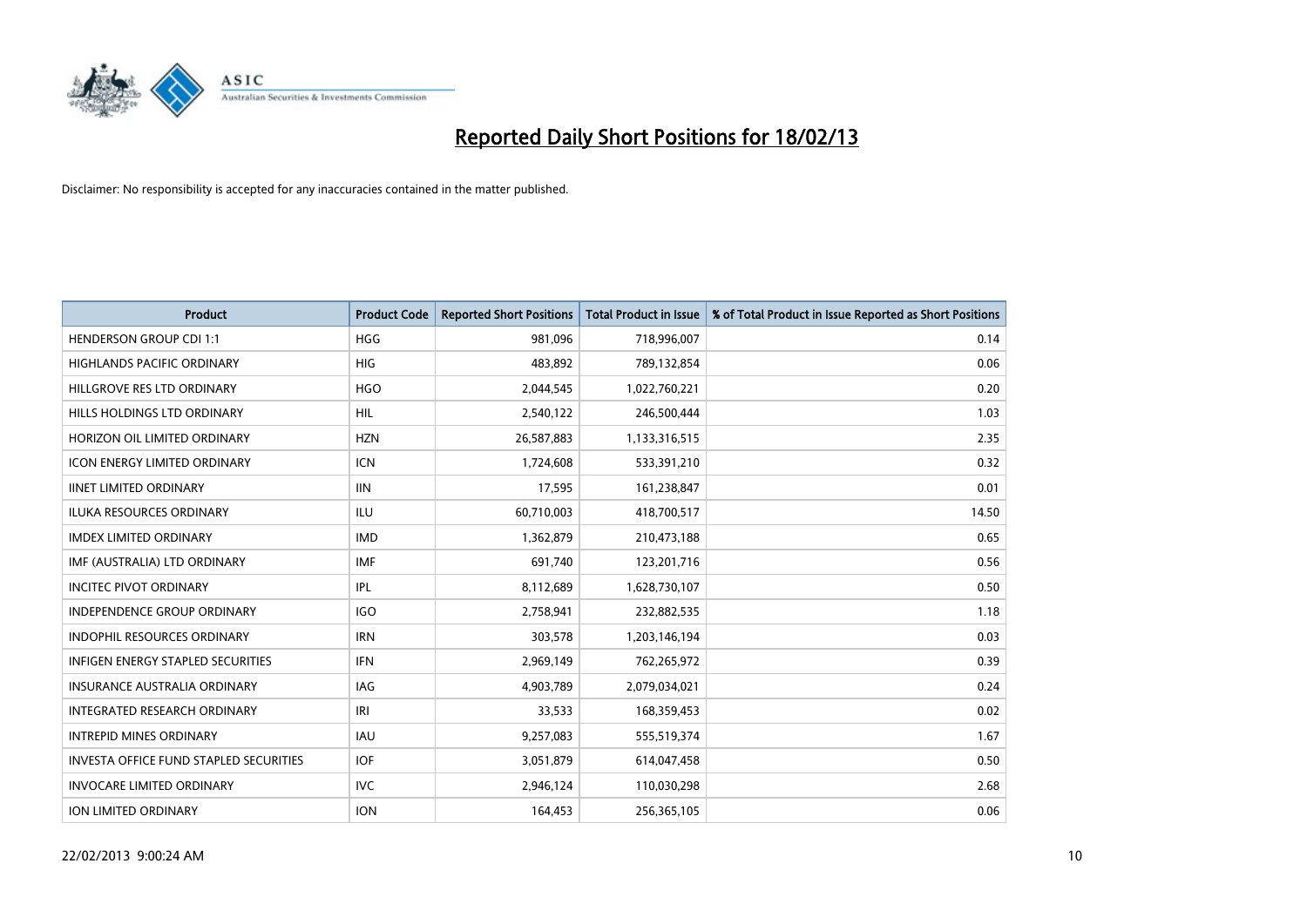

| <b>Product</b>                                | <b>Product Code</b> | <b>Reported Short Positions</b> | <b>Total Product in Issue</b> | % of Total Product in Issue Reported as Short Positions |
|-----------------------------------------------|---------------------|---------------------------------|-------------------------------|---------------------------------------------------------|
| <b>HENDERSON GROUP CDI 1:1</b>                | <b>HGG</b>          | 981,096                         | 718,996,007                   | 0.14                                                    |
| HIGHLANDS PACIFIC ORDINARY                    | <b>HIG</b>          | 483,892                         | 789,132,854                   | 0.06                                                    |
| HILLGROVE RES LTD ORDINARY                    | <b>HGO</b>          | 2,044,545                       | 1,022,760,221                 | 0.20                                                    |
| <b>HILLS HOLDINGS LTD ORDINARY</b>            | <b>HIL</b>          | 2,540,122                       | 246,500,444                   | 1.03                                                    |
| HORIZON OIL LIMITED ORDINARY                  | <b>HZN</b>          | 26,587,883                      | 1,133,316,515                 | 2.35                                                    |
| <b>ICON ENERGY LIMITED ORDINARY</b>           | <b>ICN</b>          | 1,724,608                       | 533,391,210                   | 0.32                                                    |
| <b>IINET LIMITED ORDINARY</b>                 | <b>IIN</b>          | 17,595                          | 161,238,847                   | 0.01                                                    |
| ILUKA RESOURCES ORDINARY                      | ILU                 | 60,710,003                      | 418,700,517                   | 14.50                                                   |
| <b>IMDEX LIMITED ORDINARY</b>                 | <b>IMD</b>          | 1,362,879                       | 210,473,188                   | 0.65                                                    |
| IMF (AUSTRALIA) LTD ORDINARY                  | <b>IMF</b>          | 691,740                         | 123,201,716                   | 0.56                                                    |
| <b>INCITEC PIVOT ORDINARY</b>                 | <b>IPL</b>          | 8,112,689                       | 1,628,730,107                 | 0.50                                                    |
| <b>INDEPENDENCE GROUP ORDINARY</b>            | <b>IGO</b>          | 2,758,941                       | 232,882,535                   | 1.18                                                    |
| INDOPHIL RESOURCES ORDINARY                   | <b>IRN</b>          | 303,578                         | 1,203,146,194                 | 0.03                                                    |
| INFIGEN ENERGY STAPLED SECURITIES             | <b>IFN</b>          | 2,969,149                       | 762,265,972                   | 0.39                                                    |
| <b>INSURANCE AUSTRALIA ORDINARY</b>           | <b>IAG</b>          | 4,903,789                       | 2,079,034,021                 | 0.24                                                    |
| INTEGRATED RESEARCH ORDINARY                  | IRI                 | 33,533                          | 168,359,453                   | 0.02                                                    |
| <b>INTREPID MINES ORDINARY</b>                | <b>IAU</b>          | 9,257,083                       | 555,519,374                   | 1.67                                                    |
| <b>INVESTA OFFICE FUND STAPLED SECURITIES</b> | <b>IOF</b>          | 3,051,879                       | 614,047,458                   | 0.50                                                    |
| <b>INVOCARE LIMITED ORDINARY</b>              | IVC                 | 2,946,124                       | 110,030,298                   | 2.68                                                    |
| ION LIMITED ORDINARY                          | <b>ION</b>          | 164,453                         | 256,365,105                   | 0.06                                                    |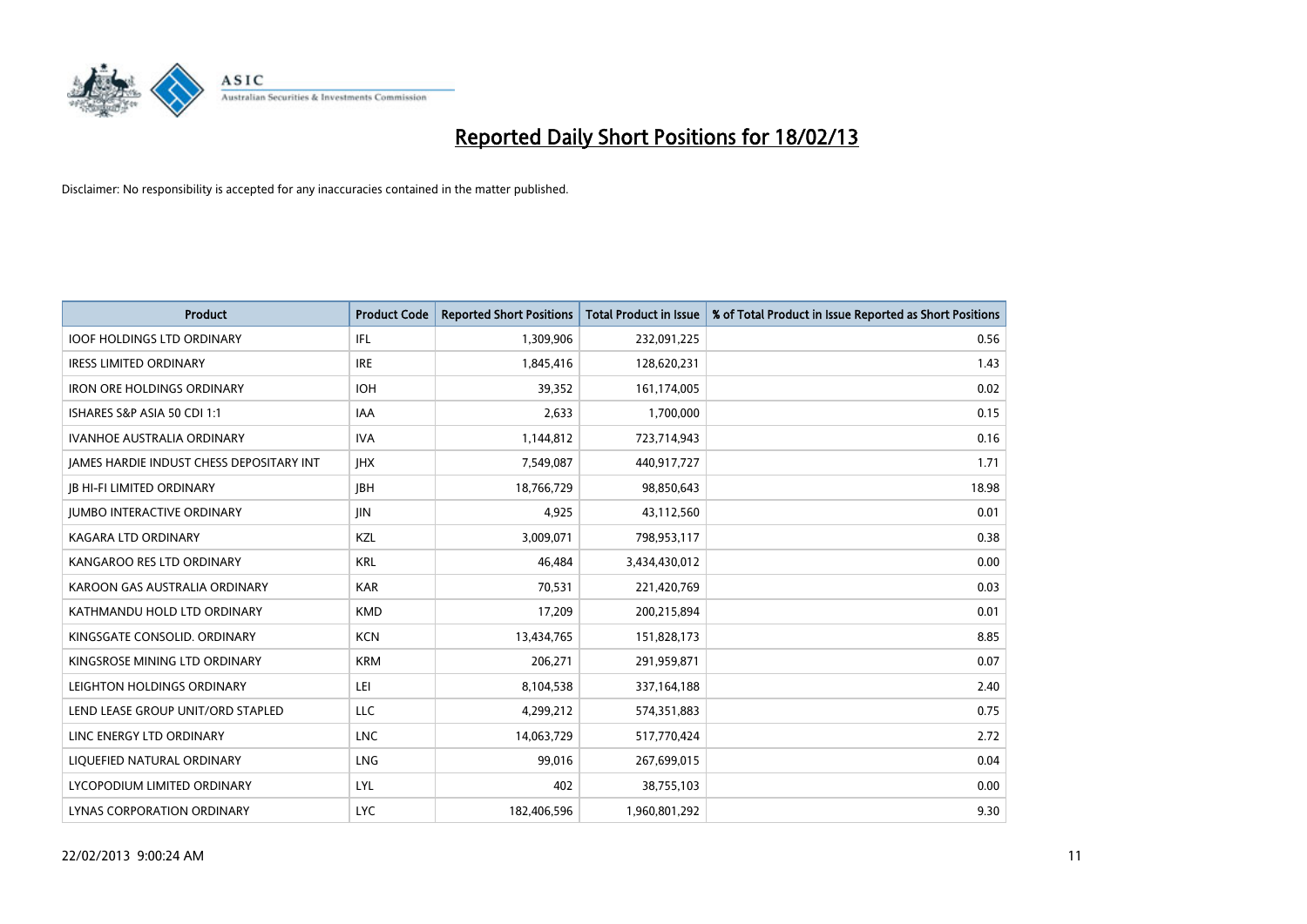

| <b>Product</b>                           | <b>Product Code</b> | <b>Reported Short Positions</b> | <b>Total Product in Issue</b> | % of Total Product in Issue Reported as Short Positions |
|------------------------------------------|---------------------|---------------------------------|-------------------------------|---------------------------------------------------------|
| <b>IOOF HOLDINGS LTD ORDINARY</b>        | IFL                 | 1,309,906                       | 232,091,225                   | 0.56                                                    |
| <b>IRESS LIMITED ORDINARY</b>            | <b>IRE</b>          | 1,845,416                       | 128,620,231                   | 1.43                                                    |
| <b>IRON ORE HOLDINGS ORDINARY</b>        | <b>IOH</b>          | 39,352                          | 161,174,005                   | 0.02                                                    |
| ISHARES S&P ASIA 50 CDI 1:1              | <b>IAA</b>          | 2,633                           | 1,700,000                     | 0.15                                                    |
| <b>IVANHOE AUSTRALIA ORDINARY</b>        | <b>IVA</b>          | 1,144,812                       | 723,714,943                   | 0.16                                                    |
| JAMES HARDIE INDUST CHESS DEPOSITARY INT | <b>IHX</b>          | 7,549,087                       | 440,917,727                   | 1.71                                                    |
| <b>JB HI-FI LIMITED ORDINARY</b>         | <b>JBH</b>          | 18,766,729                      | 98,850,643                    | 18.98                                                   |
| <b>JUMBO INTERACTIVE ORDINARY</b>        | JIN                 | 4,925                           | 43,112,560                    | 0.01                                                    |
| <b>KAGARA LTD ORDINARY</b>               | KZL                 | 3,009,071                       | 798,953,117                   | 0.38                                                    |
| KANGAROO RES LTD ORDINARY                | <b>KRL</b>          | 46,484                          | 3,434,430,012                 | 0.00                                                    |
| KAROON GAS AUSTRALIA ORDINARY            | <b>KAR</b>          | 70,531                          | 221,420,769                   | 0.03                                                    |
| KATHMANDU HOLD LTD ORDINARY              | <b>KMD</b>          | 17,209                          | 200,215,894                   | 0.01                                                    |
| KINGSGATE CONSOLID. ORDINARY             | <b>KCN</b>          | 13,434,765                      | 151,828,173                   | 8.85                                                    |
| KINGSROSE MINING LTD ORDINARY            | <b>KRM</b>          | 206,271                         | 291,959,871                   | 0.07                                                    |
| LEIGHTON HOLDINGS ORDINARY               | LEI                 | 8,104,538                       | 337,164,188                   | 2.40                                                    |
| LEND LEASE GROUP UNIT/ORD STAPLED        | LLC                 | 4,299,212                       | 574,351,883                   | 0.75                                                    |
| LINC ENERGY LTD ORDINARY                 | <b>LNC</b>          | 14,063,729                      | 517,770,424                   | 2.72                                                    |
| LIQUEFIED NATURAL ORDINARY               | <b>LNG</b>          | 99,016                          | 267,699,015                   | 0.04                                                    |
| LYCOPODIUM LIMITED ORDINARY              | <b>LYL</b>          | 402                             | 38,755,103                    | 0.00                                                    |
| LYNAS CORPORATION ORDINARY               | <b>LYC</b>          | 182,406,596                     | 1,960,801,292                 | 9.30                                                    |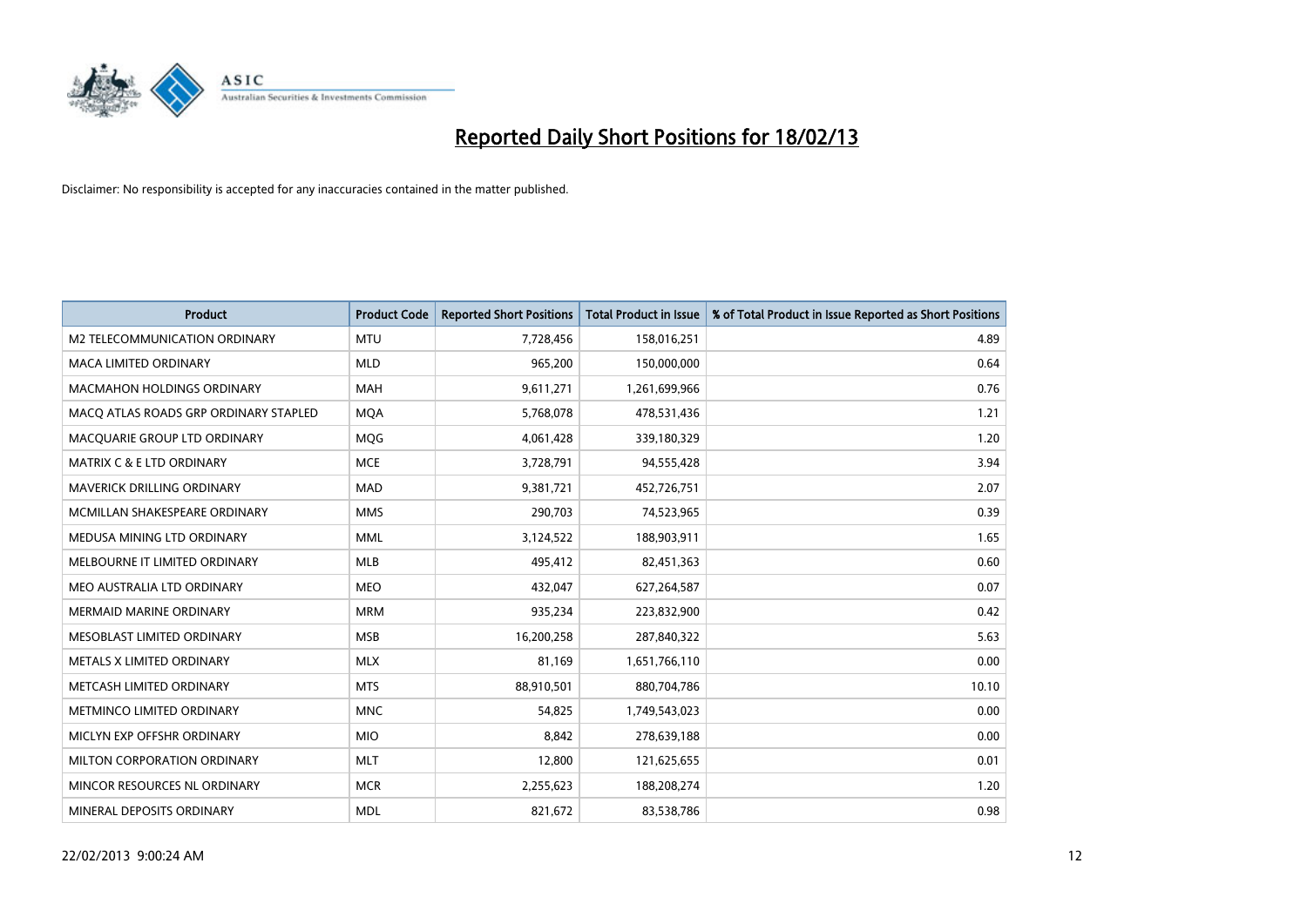

| <b>Product</b>                        | <b>Product Code</b> | <b>Reported Short Positions</b> | <b>Total Product in Issue</b> | % of Total Product in Issue Reported as Short Positions |
|---------------------------------------|---------------------|---------------------------------|-------------------------------|---------------------------------------------------------|
| <b>M2 TELECOMMUNICATION ORDINARY</b>  | <b>MTU</b>          | 7,728,456                       | 158,016,251                   | 4.89                                                    |
| MACA LIMITED ORDINARY                 | <b>MLD</b>          | 965,200                         | 150,000,000                   | 0.64                                                    |
| <b>MACMAHON HOLDINGS ORDINARY</b>     | <b>MAH</b>          | 9,611,271                       | 1,261,699,966                 | 0.76                                                    |
| MACO ATLAS ROADS GRP ORDINARY STAPLED | <b>MOA</b>          | 5,768,078                       | 478,531,436                   | 1.21                                                    |
| MACQUARIE GROUP LTD ORDINARY          | <b>MOG</b>          | 4,061,428                       | 339,180,329                   | 1.20                                                    |
| <b>MATRIX C &amp; E LTD ORDINARY</b>  | <b>MCE</b>          | 3,728,791                       | 94,555,428                    | 3.94                                                    |
| <b>MAVERICK DRILLING ORDINARY</b>     | <b>MAD</b>          | 9,381,721                       | 452,726,751                   | 2.07                                                    |
| MCMILLAN SHAKESPEARE ORDINARY         | <b>MMS</b>          | 290,703                         | 74,523,965                    | 0.39                                                    |
| MEDUSA MINING LTD ORDINARY            | <b>MML</b>          | 3,124,522                       | 188,903,911                   | 1.65                                                    |
| MELBOURNE IT LIMITED ORDINARY         | MLB                 | 495,412                         | 82,451,363                    | 0.60                                                    |
| MEO AUSTRALIA LTD ORDINARY            | <b>MEO</b>          | 432,047                         | 627,264,587                   | 0.07                                                    |
| MERMAID MARINE ORDINARY               | <b>MRM</b>          | 935,234                         | 223,832,900                   | 0.42                                                    |
| MESOBLAST LIMITED ORDINARY            | <b>MSB</b>          | 16,200,258                      | 287,840,322                   | 5.63                                                    |
| METALS X LIMITED ORDINARY             | <b>MLX</b>          | 81,169                          | 1,651,766,110                 | 0.00                                                    |
| METCASH LIMITED ORDINARY              | <b>MTS</b>          | 88,910,501                      | 880,704,786                   | 10.10                                                   |
| METMINCO LIMITED ORDINARY             | <b>MNC</b>          | 54,825                          | 1,749,543,023                 | 0.00                                                    |
| MICLYN EXP OFFSHR ORDINARY            | <b>MIO</b>          | 8,842                           | 278,639,188                   | 0.00                                                    |
| MILTON CORPORATION ORDINARY           | <b>MLT</b>          | 12,800                          | 121,625,655                   | 0.01                                                    |
| MINCOR RESOURCES NL ORDINARY          | <b>MCR</b>          | 2,255,623                       | 188,208,274                   | 1.20                                                    |
| MINERAL DEPOSITS ORDINARY             | <b>MDL</b>          | 821,672                         | 83,538,786                    | 0.98                                                    |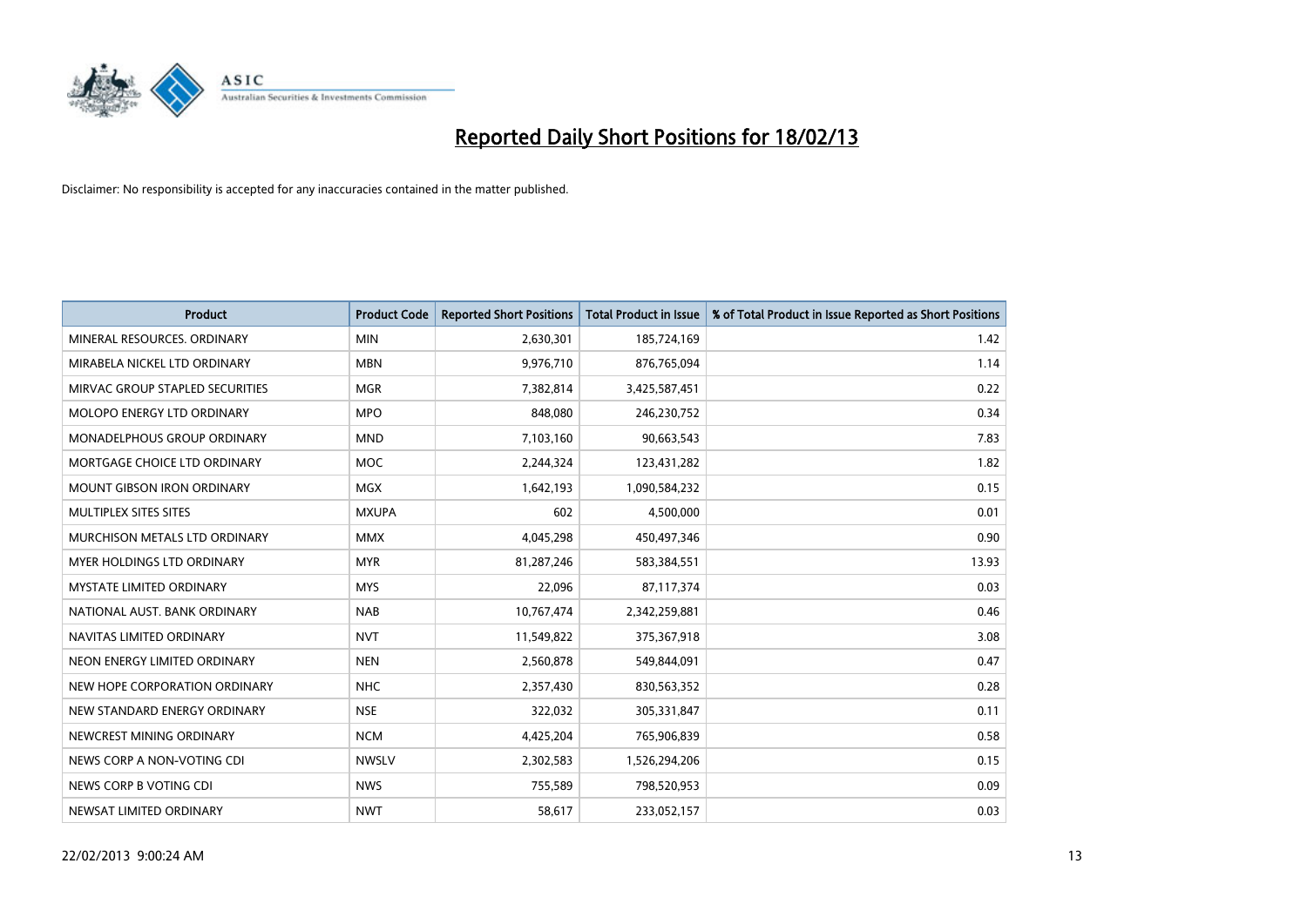

| <b>Product</b>                     | <b>Product Code</b> | <b>Reported Short Positions</b> | <b>Total Product in Issue</b> | % of Total Product in Issue Reported as Short Positions |
|------------------------------------|---------------------|---------------------------------|-------------------------------|---------------------------------------------------------|
| MINERAL RESOURCES, ORDINARY        | <b>MIN</b>          | 2,630,301                       | 185,724,169                   | 1.42                                                    |
| MIRABELA NICKEL LTD ORDINARY       | <b>MBN</b>          | 9,976,710                       | 876,765,094                   | 1.14                                                    |
| MIRVAC GROUP STAPLED SECURITIES    | <b>MGR</b>          | 7,382,814                       | 3,425,587,451                 | 0.22                                                    |
| <b>MOLOPO ENERGY LTD ORDINARY</b>  | <b>MPO</b>          | 848,080                         | 246,230,752                   | 0.34                                                    |
| <b>MONADELPHOUS GROUP ORDINARY</b> | <b>MND</b>          | 7,103,160                       | 90,663,543                    | 7.83                                                    |
| MORTGAGE CHOICE LTD ORDINARY       | <b>MOC</b>          | 2,244,324                       | 123,431,282                   | 1.82                                                    |
| <b>MOUNT GIBSON IRON ORDINARY</b>  | <b>MGX</b>          | 1,642,193                       | 1,090,584,232                 | 0.15                                                    |
| MULTIPLEX SITES SITES              | <b>MXUPA</b>        | 602                             | 4,500,000                     | 0.01                                                    |
| MURCHISON METALS LTD ORDINARY      | <b>MMX</b>          | 4,045,298                       | 450,497,346                   | 0.90                                                    |
| MYER HOLDINGS LTD ORDINARY         | <b>MYR</b>          | 81,287,246                      | 583,384,551                   | 13.93                                                   |
| MYSTATE LIMITED ORDINARY           | <b>MYS</b>          | 22,096                          | 87,117,374                    | 0.03                                                    |
| NATIONAL AUST, BANK ORDINARY       | <b>NAB</b>          | 10,767,474                      | 2,342,259,881                 | 0.46                                                    |
| NAVITAS LIMITED ORDINARY           | <b>NVT</b>          | 11,549,822                      | 375,367,918                   | 3.08                                                    |
| NEON ENERGY LIMITED ORDINARY       | <b>NEN</b>          | 2,560,878                       | 549,844,091                   | 0.47                                                    |
| NEW HOPE CORPORATION ORDINARY      | <b>NHC</b>          | 2,357,430                       | 830,563,352                   | 0.28                                                    |
| NEW STANDARD ENERGY ORDINARY       | <b>NSE</b>          | 322,032                         | 305,331,847                   | 0.11                                                    |
| NEWCREST MINING ORDINARY           | <b>NCM</b>          | 4,425,204                       | 765,906,839                   | 0.58                                                    |
| NEWS CORP A NON-VOTING CDI         | <b>NWSLV</b>        | 2,302,583                       | 1,526,294,206                 | 0.15                                                    |
| NEWS CORP B VOTING CDI             | <b>NWS</b>          | 755,589                         | 798,520,953                   | 0.09                                                    |
| NEWSAT LIMITED ORDINARY            | <b>NWT</b>          | 58,617                          | 233,052,157                   | 0.03                                                    |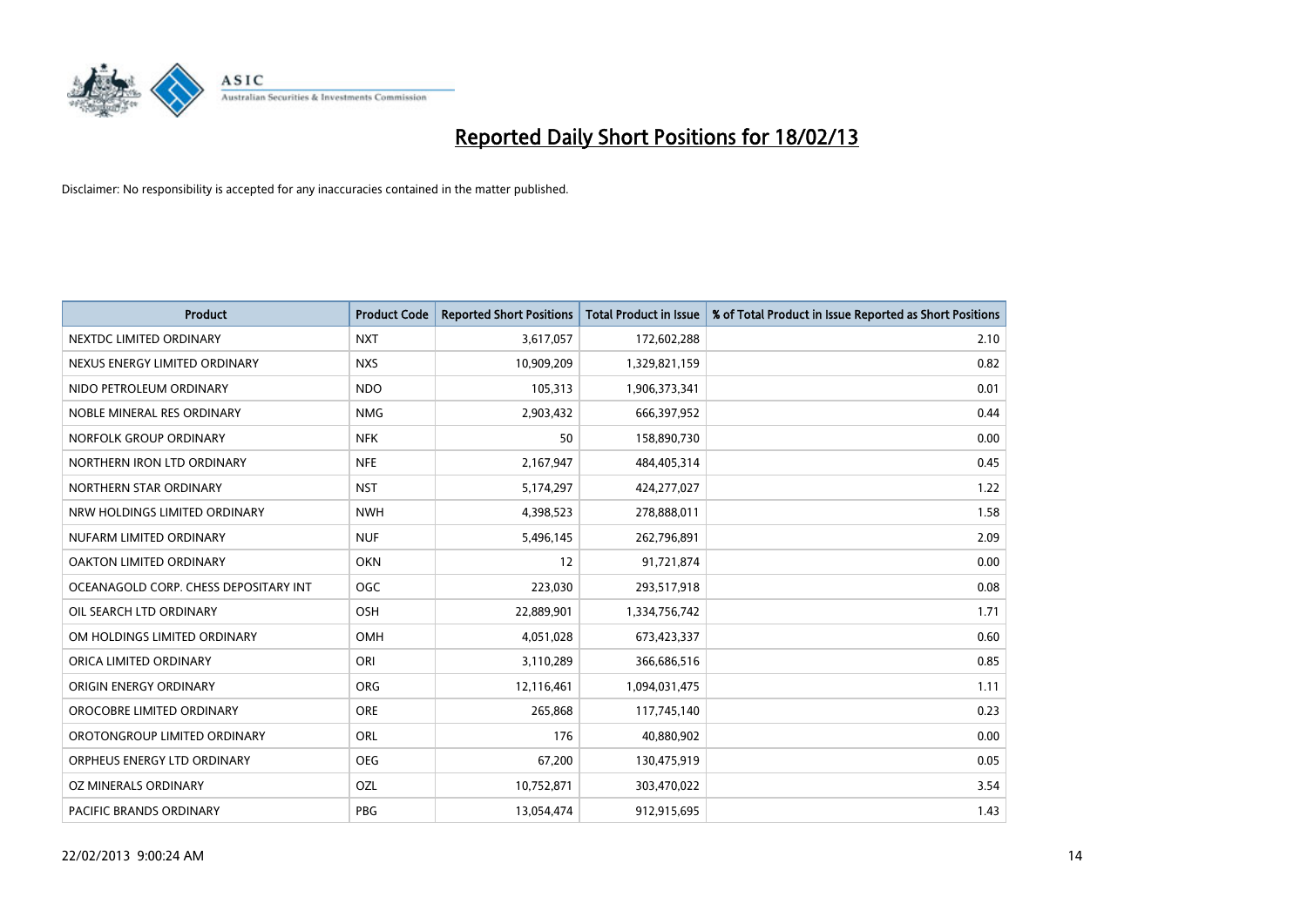

| <b>Product</b>                        | <b>Product Code</b> | <b>Reported Short Positions</b> | <b>Total Product in Issue</b> | % of Total Product in Issue Reported as Short Positions |
|---------------------------------------|---------------------|---------------------------------|-------------------------------|---------------------------------------------------------|
| NEXTDC LIMITED ORDINARY               | <b>NXT</b>          | 3,617,057                       | 172,602,288                   | 2.10                                                    |
| NEXUS ENERGY LIMITED ORDINARY         | <b>NXS</b>          | 10,909,209                      | 1,329,821,159                 | 0.82                                                    |
| NIDO PETROLEUM ORDINARY               | <b>NDO</b>          | 105,313                         | 1,906,373,341                 | 0.01                                                    |
| NOBLE MINERAL RES ORDINARY            | <b>NMG</b>          | 2,903,432                       | 666,397,952                   | 0.44                                                    |
| NORFOLK GROUP ORDINARY                | <b>NFK</b>          | 50                              | 158,890,730                   | 0.00                                                    |
| NORTHERN IRON LTD ORDINARY            | <b>NFE</b>          | 2,167,947                       | 484,405,314                   | 0.45                                                    |
| NORTHERN STAR ORDINARY                | <b>NST</b>          | 5,174,297                       | 424,277,027                   | 1.22                                                    |
| NRW HOLDINGS LIMITED ORDINARY         | <b>NWH</b>          | 4,398,523                       | 278,888,011                   | 1.58                                                    |
| NUFARM LIMITED ORDINARY               | <b>NUF</b>          | 5,496,145                       | 262,796,891                   | 2.09                                                    |
| <b>OAKTON LIMITED ORDINARY</b>        | <b>OKN</b>          | 12                              | 91,721,874                    | 0.00                                                    |
| OCEANAGOLD CORP. CHESS DEPOSITARY INT | <b>OGC</b>          | 223,030                         | 293,517,918                   | 0.08                                                    |
| OIL SEARCH LTD ORDINARY               | OSH                 | 22,889,901                      | 1,334,756,742                 | 1.71                                                    |
| OM HOLDINGS LIMITED ORDINARY          | OMH                 | 4,051,028                       | 673,423,337                   | 0.60                                                    |
| ORICA LIMITED ORDINARY                | ORI                 | 3,110,289                       | 366,686,516                   | 0.85                                                    |
| ORIGIN ENERGY ORDINARY                | <b>ORG</b>          | 12,116,461                      | 1,094,031,475                 | 1.11                                                    |
| OROCOBRE LIMITED ORDINARY             | <b>ORE</b>          | 265,868                         | 117,745,140                   | 0.23                                                    |
| OROTONGROUP LIMITED ORDINARY          | ORL                 | 176                             | 40,880,902                    | 0.00                                                    |
| ORPHEUS ENERGY LTD ORDINARY           | <b>OEG</b>          | 67,200                          | 130,475,919                   | 0.05                                                    |
| OZ MINERALS ORDINARY                  | OZL                 | 10,752,871                      | 303,470,022                   | 3.54                                                    |
| PACIFIC BRANDS ORDINARY               | <b>PBG</b>          | 13,054,474                      | 912,915,695                   | 1.43                                                    |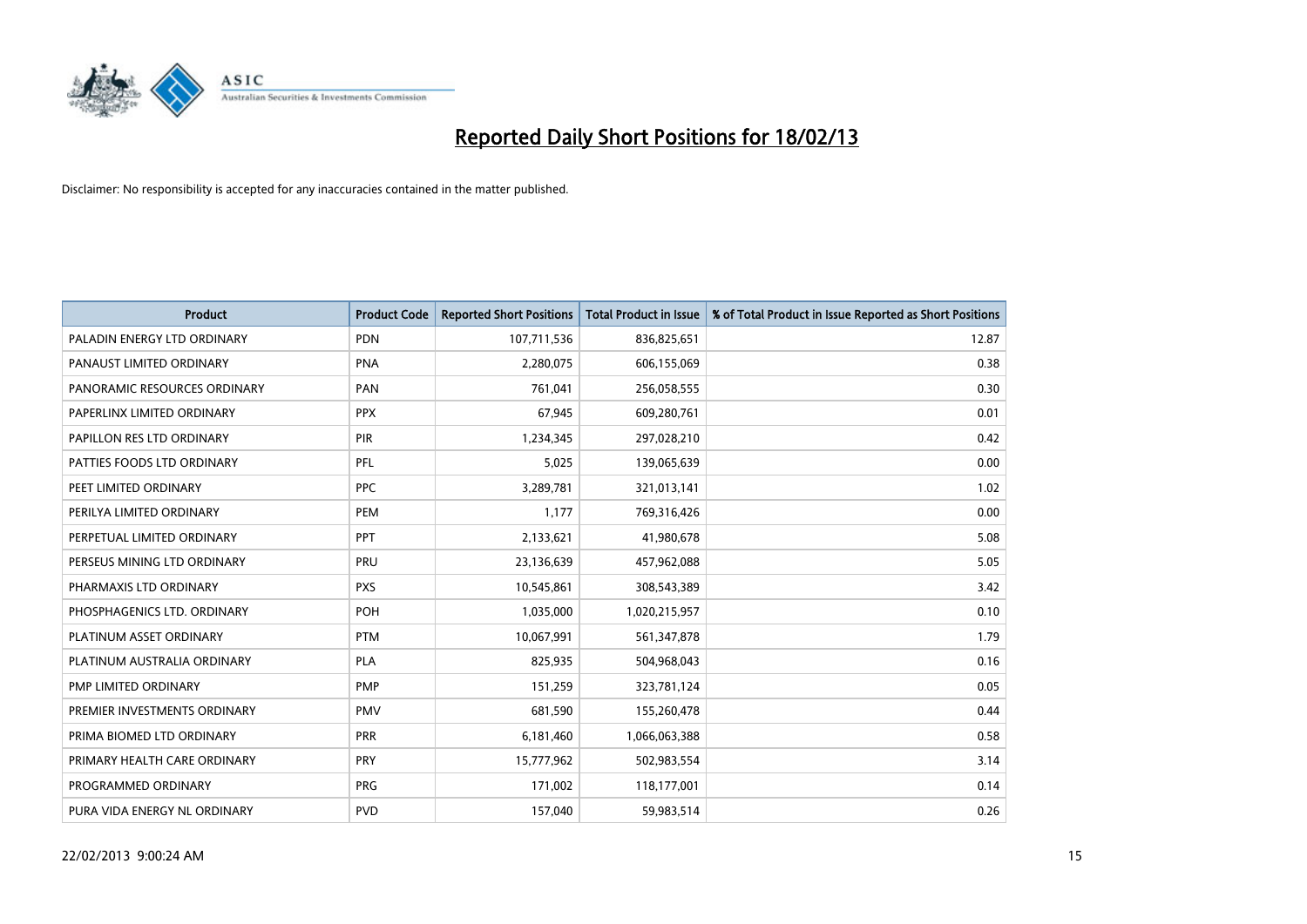

| Product                      | <b>Product Code</b> | <b>Reported Short Positions</b> | <b>Total Product in Issue</b> | % of Total Product in Issue Reported as Short Positions |
|------------------------------|---------------------|---------------------------------|-------------------------------|---------------------------------------------------------|
| PALADIN ENERGY LTD ORDINARY  | <b>PDN</b>          | 107,711,536                     | 836,825,651                   | 12.87                                                   |
| PANAUST LIMITED ORDINARY     | <b>PNA</b>          | 2,280,075                       | 606,155,069                   | 0.38                                                    |
| PANORAMIC RESOURCES ORDINARY | PAN                 | 761,041                         | 256,058,555                   | 0.30                                                    |
| PAPERLINX LIMITED ORDINARY   | <b>PPX</b>          | 67,945                          | 609,280,761                   | 0.01                                                    |
| PAPILLON RES LTD ORDINARY    | PIR                 | 1,234,345                       | 297,028,210                   | 0.42                                                    |
| PATTIES FOODS LTD ORDINARY   | PFL                 | 5,025                           | 139,065,639                   | 0.00                                                    |
| PEET LIMITED ORDINARY        | <b>PPC</b>          | 3,289,781                       | 321,013,141                   | 1.02                                                    |
| PERILYA LIMITED ORDINARY     | PEM                 | 1,177                           | 769,316,426                   | 0.00                                                    |
| PERPETUAL LIMITED ORDINARY   | PPT                 | 2,133,621                       | 41,980,678                    | 5.08                                                    |
| PERSEUS MINING LTD ORDINARY  | PRU                 | 23,136,639                      | 457,962,088                   | 5.05                                                    |
| PHARMAXIS LTD ORDINARY       | <b>PXS</b>          | 10,545,861                      | 308,543,389                   | 3.42                                                    |
| PHOSPHAGENICS LTD. ORDINARY  | POH                 | 1,035,000                       | 1,020,215,957                 | 0.10                                                    |
| PLATINUM ASSET ORDINARY      | <b>PTM</b>          | 10,067,991                      | 561,347,878                   | 1.79                                                    |
| PLATINUM AUSTRALIA ORDINARY  | <b>PLA</b>          | 825,935                         | 504,968,043                   | 0.16                                                    |
| PMP LIMITED ORDINARY         | PMP                 | 151,259                         | 323,781,124                   | 0.05                                                    |
| PREMIER INVESTMENTS ORDINARY | <b>PMV</b>          | 681,590                         | 155,260,478                   | 0.44                                                    |
| PRIMA BIOMED LTD ORDINARY    | <b>PRR</b>          | 6,181,460                       | 1,066,063,388                 | 0.58                                                    |
| PRIMARY HEALTH CARE ORDINARY | <b>PRY</b>          | 15,777,962                      | 502,983,554                   | 3.14                                                    |
| PROGRAMMED ORDINARY          | <b>PRG</b>          | 171,002                         | 118,177,001                   | 0.14                                                    |
| PURA VIDA ENERGY NL ORDINARY | <b>PVD</b>          | 157,040                         | 59,983,514                    | 0.26                                                    |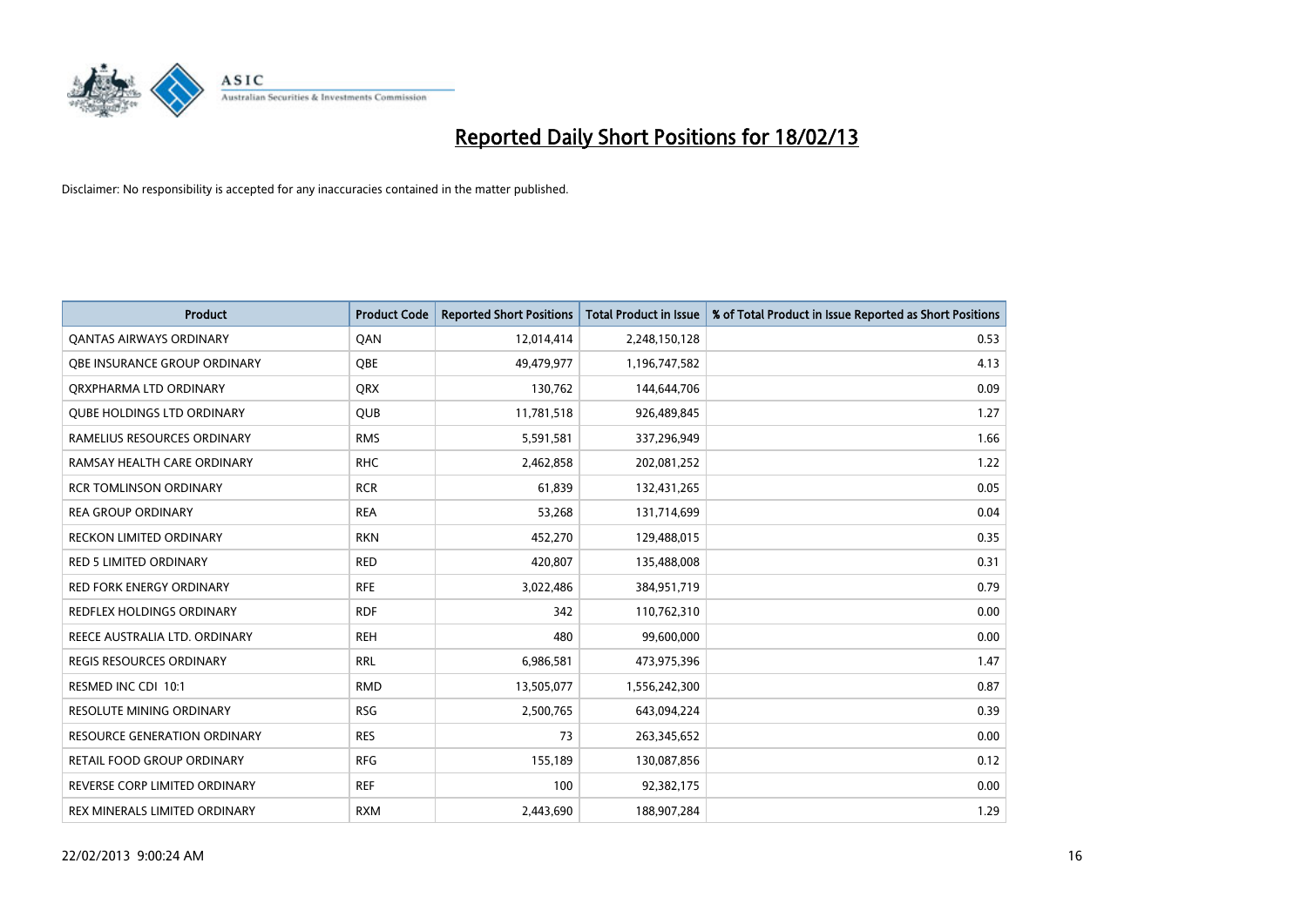

| <b>Product</b>                      | <b>Product Code</b> | <b>Reported Short Positions</b> | <b>Total Product in Issue</b> | % of Total Product in Issue Reported as Short Positions |
|-------------------------------------|---------------------|---------------------------------|-------------------------------|---------------------------------------------------------|
| <b>QANTAS AIRWAYS ORDINARY</b>      | QAN                 | 12,014,414                      | 2,248,150,128                 | 0.53                                                    |
| <b>OBE INSURANCE GROUP ORDINARY</b> | <b>OBE</b>          | 49,479,977                      | 1,196,747,582                 | 4.13                                                    |
| ORXPHARMA LTD ORDINARY              | <b>QRX</b>          | 130,762                         | 144,644,706                   | 0.09                                                    |
| <b>QUBE HOLDINGS LTD ORDINARY</b>   | <b>QUB</b>          | 11,781,518                      | 926,489,845                   | 1.27                                                    |
| RAMELIUS RESOURCES ORDINARY         | <b>RMS</b>          | 5,591,581                       | 337,296,949                   | 1.66                                                    |
| RAMSAY HEALTH CARE ORDINARY         | <b>RHC</b>          | 2,462,858                       | 202,081,252                   | 1.22                                                    |
| <b>RCR TOMLINSON ORDINARY</b>       | <b>RCR</b>          | 61,839                          | 132,431,265                   | 0.05                                                    |
| <b>REA GROUP ORDINARY</b>           | <b>REA</b>          | 53,268                          | 131,714,699                   | 0.04                                                    |
| RECKON LIMITED ORDINARY             | <b>RKN</b>          | 452,270                         | 129,488,015                   | 0.35                                                    |
| <b>RED 5 LIMITED ORDINARY</b>       | <b>RED</b>          | 420,807                         | 135,488,008                   | 0.31                                                    |
| <b>RED FORK ENERGY ORDINARY</b>     | <b>RFE</b>          | 3,022,486                       | 384,951,719                   | 0.79                                                    |
| REDFLEX HOLDINGS ORDINARY           | <b>RDF</b>          | 342                             | 110,762,310                   | 0.00                                                    |
| REECE AUSTRALIA LTD. ORDINARY       | <b>REH</b>          | 480                             | 99,600,000                    | 0.00                                                    |
| <b>REGIS RESOURCES ORDINARY</b>     | <b>RRL</b>          | 6,986,581                       | 473,975,396                   | 1.47                                                    |
| RESMED INC CDI 10:1                 | <b>RMD</b>          | 13,505,077                      | 1,556,242,300                 | 0.87                                                    |
| <b>RESOLUTE MINING ORDINARY</b>     | <b>RSG</b>          | 2,500,765                       | 643,094,224                   | 0.39                                                    |
| <b>RESOURCE GENERATION ORDINARY</b> | <b>RES</b>          | 73                              | 263,345,652                   | 0.00                                                    |
| RETAIL FOOD GROUP ORDINARY          | <b>RFG</b>          | 155,189                         | 130,087,856                   | 0.12                                                    |
| REVERSE CORP LIMITED ORDINARY       | <b>REF</b>          | 100                             | 92,382,175                    | 0.00                                                    |
| REX MINERALS LIMITED ORDINARY       | <b>RXM</b>          | 2,443,690                       | 188,907,284                   | 1.29                                                    |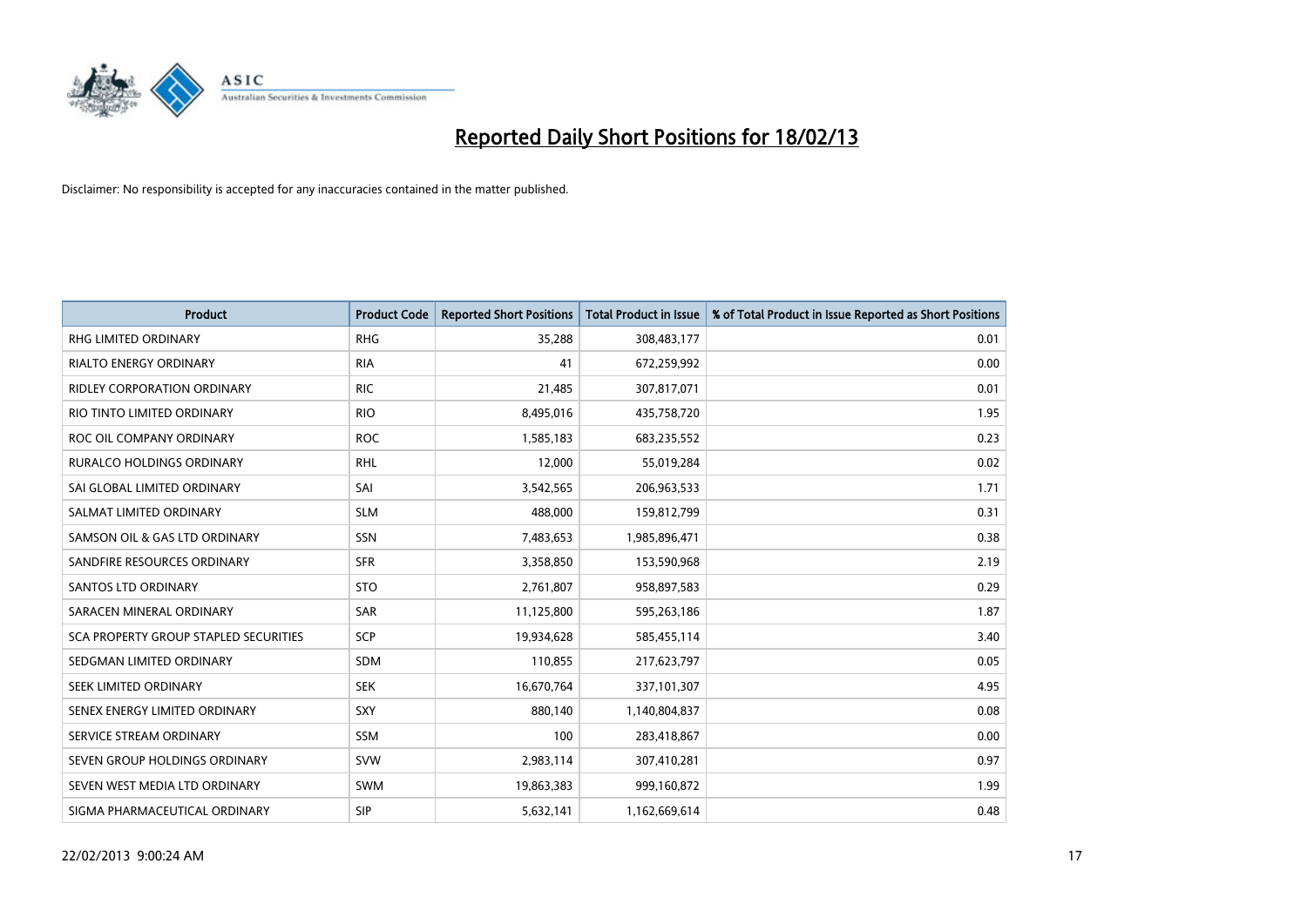

| <b>Product</b>                               | <b>Product Code</b> | <b>Reported Short Positions</b> | <b>Total Product in Issue</b> | % of Total Product in Issue Reported as Short Positions |
|----------------------------------------------|---------------------|---------------------------------|-------------------------------|---------------------------------------------------------|
| <b>RHG LIMITED ORDINARY</b>                  | <b>RHG</b>          | 35,288                          | 308,483,177                   | 0.01                                                    |
| <b>RIALTO ENERGY ORDINARY</b>                | <b>RIA</b>          | 41                              | 672,259,992                   | 0.00                                                    |
| RIDLEY CORPORATION ORDINARY                  | <b>RIC</b>          | 21,485                          | 307,817,071                   | 0.01                                                    |
| RIO TINTO LIMITED ORDINARY                   | <b>RIO</b>          | 8,495,016                       | 435,758,720                   | 1.95                                                    |
| ROC OIL COMPANY ORDINARY                     | <b>ROC</b>          | 1,585,183                       | 683,235,552                   | 0.23                                                    |
| <b>RURALCO HOLDINGS ORDINARY</b>             | <b>RHL</b>          | 12,000                          | 55,019,284                    | 0.02                                                    |
| SAI GLOBAL LIMITED ORDINARY                  | SAI                 | 3,542,565                       | 206,963,533                   | 1.71                                                    |
| SALMAT LIMITED ORDINARY                      | <b>SLM</b>          | 488,000                         | 159,812,799                   | 0.31                                                    |
| SAMSON OIL & GAS LTD ORDINARY                | SSN                 | 7,483,653                       | 1,985,896,471                 | 0.38                                                    |
| SANDFIRE RESOURCES ORDINARY                  | <b>SFR</b>          | 3,358,850                       | 153,590,968                   | 2.19                                                    |
| <b>SANTOS LTD ORDINARY</b>                   | <b>STO</b>          | 2,761,807                       | 958,897,583                   | 0.29                                                    |
| SARACEN MINERAL ORDINARY                     | SAR                 | 11,125,800                      | 595,263,186                   | 1.87                                                    |
| <b>SCA PROPERTY GROUP STAPLED SECURITIES</b> | <b>SCP</b>          | 19,934,628                      | 585,455,114                   | 3.40                                                    |
| SEDGMAN LIMITED ORDINARY                     | SDM                 | 110,855                         | 217,623,797                   | 0.05                                                    |
| SEEK LIMITED ORDINARY                        | <b>SEK</b>          | 16,670,764                      | 337,101,307                   | 4.95                                                    |
| SENEX ENERGY LIMITED ORDINARY                | SXY                 | 880,140                         | 1,140,804,837                 | 0.08                                                    |
| SERVICE STREAM ORDINARY                      | SSM                 | 100                             | 283,418,867                   | 0.00                                                    |
| SEVEN GROUP HOLDINGS ORDINARY                | <b>SVW</b>          | 2,983,114                       | 307,410,281                   | 0.97                                                    |
| SEVEN WEST MEDIA LTD ORDINARY                | <b>SWM</b>          | 19,863,383                      | 999,160,872                   | 1.99                                                    |
| SIGMA PHARMACEUTICAL ORDINARY                | <b>SIP</b>          | 5,632,141                       | 1,162,669,614                 | 0.48                                                    |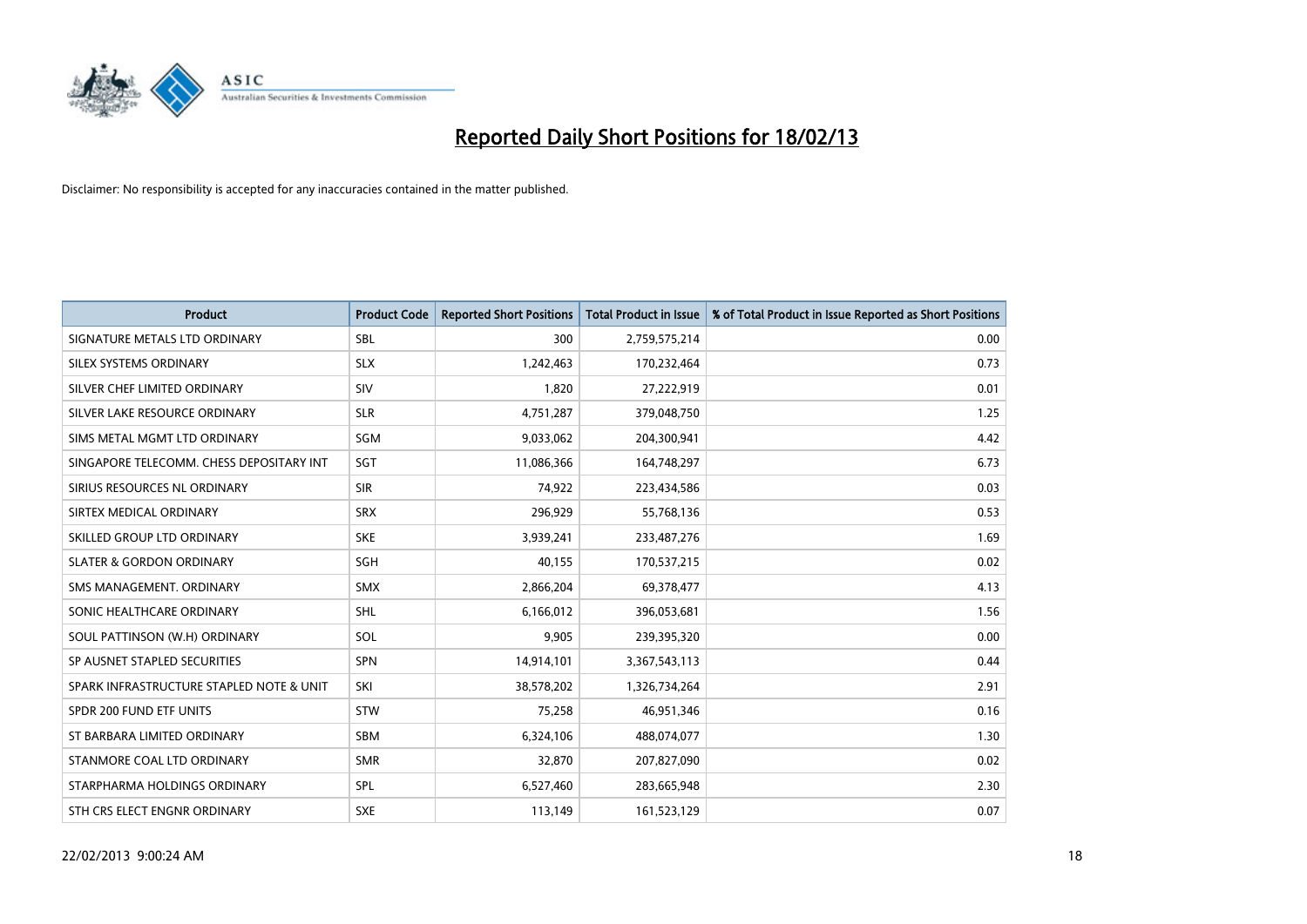

| <b>Product</b>                           | <b>Product Code</b> | <b>Reported Short Positions</b> | <b>Total Product in Issue</b> | % of Total Product in Issue Reported as Short Positions |
|------------------------------------------|---------------------|---------------------------------|-------------------------------|---------------------------------------------------------|
| SIGNATURE METALS LTD ORDINARY            | <b>SBL</b>          | 300                             | 2,759,575,214                 | 0.00                                                    |
| SILEX SYSTEMS ORDINARY                   | <b>SLX</b>          | 1,242,463                       | 170,232,464                   | 0.73                                                    |
| SILVER CHEF LIMITED ORDINARY             | SIV                 | 1,820                           | 27,222,919                    | 0.01                                                    |
| SILVER LAKE RESOURCE ORDINARY            | <b>SLR</b>          | 4,751,287                       | 379,048,750                   | 1.25                                                    |
| SIMS METAL MGMT LTD ORDINARY             | SGM                 | 9,033,062                       | 204,300,941                   | 4.42                                                    |
| SINGAPORE TELECOMM. CHESS DEPOSITARY INT | SGT                 | 11,086,366                      | 164,748,297                   | 6.73                                                    |
| SIRIUS RESOURCES NL ORDINARY             | <b>SIR</b>          | 74,922                          | 223,434,586                   | 0.03                                                    |
| SIRTEX MEDICAL ORDINARY                  | <b>SRX</b>          | 296,929                         | 55,768,136                    | 0.53                                                    |
| SKILLED GROUP LTD ORDINARY               | <b>SKE</b>          | 3,939,241                       | 233,487,276                   | 1.69                                                    |
| <b>SLATER &amp; GORDON ORDINARY</b>      | SGH                 | 40,155                          | 170,537,215                   | 0.02                                                    |
| SMS MANAGEMENT. ORDINARY                 | <b>SMX</b>          | 2,866,204                       | 69,378,477                    | 4.13                                                    |
| SONIC HEALTHCARE ORDINARY                | SHL                 | 6,166,012                       | 396,053,681                   | 1.56                                                    |
| SOUL PATTINSON (W.H) ORDINARY            | SOL                 | 9,905                           | 239,395,320                   | 0.00                                                    |
| SP AUSNET STAPLED SECURITIES             | SPN                 | 14,914,101                      | 3,367,543,113                 | 0.44                                                    |
| SPARK INFRASTRUCTURE STAPLED NOTE & UNIT | SKI                 | 38,578,202                      | 1,326,734,264                 | 2.91                                                    |
| SPDR 200 FUND ETF UNITS                  | <b>STW</b>          | 75,258                          | 46,951,346                    | 0.16                                                    |
| ST BARBARA LIMITED ORDINARY              | SBM                 | 6,324,106                       | 488,074,077                   | 1.30                                                    |
| STANMORE COAL LTD ORDINARY               | <b>SMR</b>          | 32,870                          | 207,827,090                   | 0.02                                                    |
| STARPHARMA HOLDINGS ORDINARY             | <b>SPL</b>          | 6,527,460                       | 283,665,948                   | 2.30                                                    |
| STH CRS ELECT ENGNR ORDINARY             | <b>SXE</b>          | 113,149                         | 161,523,129                   | 0.07                                                    |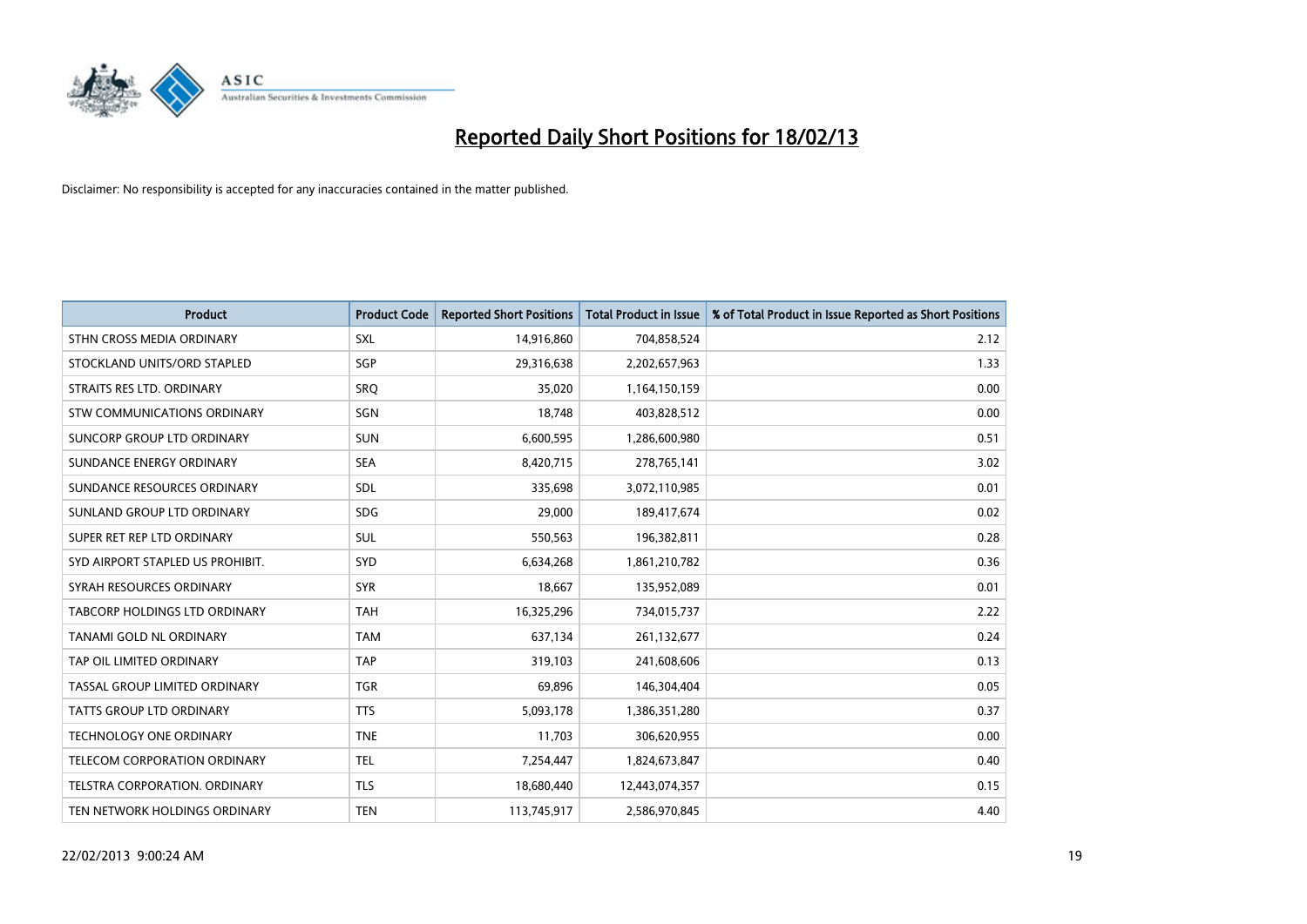

| <b>Product</b>                   | <b>Product Code</b> | <b>Reported Short Positions</b> | <b>Total Product in Issue</b> | % of Total Product in Issue Reported as Short Positions |
|----------------------------------|---------------------|---------------------------------|-------------------------------|---------------------------------------------------------|
| STHN CROSS MEDIA ORDINARY        | <b>SXL</b>          | 14,916,860                      | 704,858,524                   | 2.12                                                    |
| STOCKLAND UNITS/ORD STAPLED      | SGP                 | 29,316,638                      | 2,202,657,963                 | 1.33                                                    |
| STRAITS RES LTD. ORDINARY        | <b>SRQ</b>          | 35,020                          | 1,164,150,159                 | 0.00                                                    |
| STW COMMUNICATIONS ORDINARY      | <b>SGN</b>          | 18,748                          | 403,828,512                   | 0.00                                                    |
| SUNCORP GROUP LTD ORDINARY       | <b>SUN</b>          | 6,600,595                       | 1,286,600,980                 | 0.51                                                    |
| SUNDANCE ENERGY ORDINARY         | <b>SEA</b>          | 8,420,715                       | 278,765,141                   | 3.02                                                    |
| SUNDANCE RESOURCES ORDINARY      | <b>SDL</b>          | 335,698                         | 3,072,110,985                 | 0.01                                                    |
| SUNLAND GROUP LTD ORDINARY       | <b>SDG</b>          | 29,000                          | 189,417,674                   | 0.02                                                    |
| SUPER RET REP LTD ORDINARY       | <b>SUL</b>          | 550,563                         | 196,382,811                   | 0.28                                                    |
| SYD AIRPORT STAPLED US PROHIBIT. | SYD                 | 6,634,268                       | 1,861,210,782                 | 0.36                                                    |
| SYRAH RESOURCES ORDINARY         | <b>SYR</b>          | 18,667                          | 135,952,089                   | 0.01                                                    |
| TABCORP HOLDINGS LTD ORDINARY    | <b>TAH</b>          | 16,325,296                      | 734,015,737                   | 2.22                                                    |
| TANAMI GOLD NL ORDINARY          | <b>TAM</b>          | 637,134                         | 261,132,677                   | 0.24                                                    |
| TAP OIL LIMITED ORDINARY         | <b>TAP</b>          | 319,103                         | 241,608,606                   | 0.13                                                    |
| TASSAL GROUP LIMITED ORDINARY    | <b>TGR</b>          | 69,896                          | 146,304,404                   | 0.05                                                    |
| TATTS GROUP LTD ORDINARY         | <b>TTS</b>          | 5,093,178                       | 1,386,351,280                 | 0.37                                                    |
| TECHNOLOGY ONE ORDINARY          | <b>TNE</b>          | 11,703                          | 306,620,955                   | 0.00                                                    |
| TELECOM CORPORATION ORDINARY     | <b>TEL</b>          | 7,254,447                       | 1,824,673,847                 | 0.40                                                    |
| TELSTRA CORPORATION, ORDINARY    | <b>TLS</b>          | 18,680,440                      | 12,443,074,357                | 0.15                                                    |
| TEN NETWORK HOLDINGS ORDINARY    | <b>TEN</b>          | 113,745,917                     | 2,586,970,845                 | 4.40                                                    |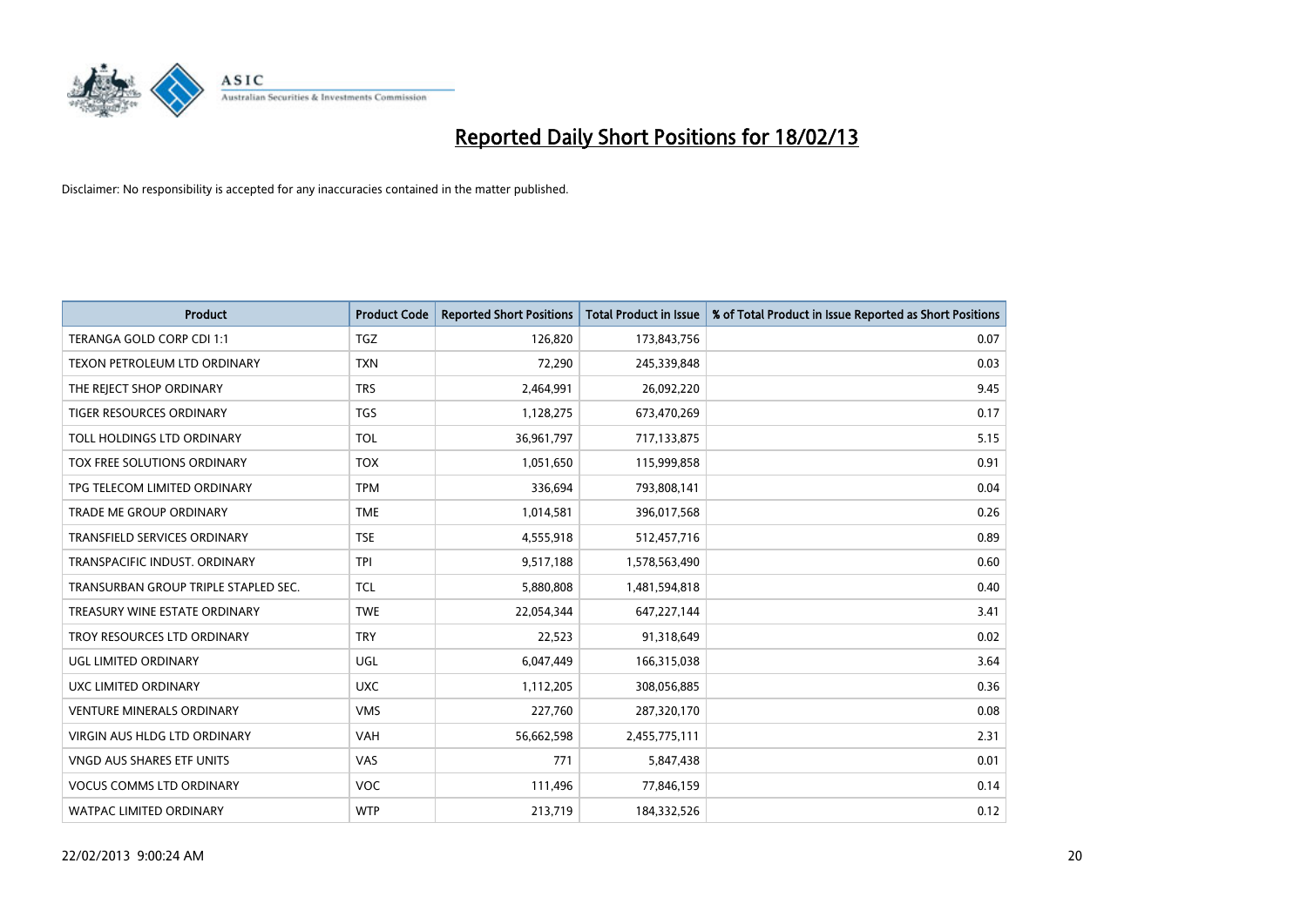

| <b>Product</b>                       | <b>Product Code</b> | <b>Reported Short Positions</b> | <b>Total Product in Issue</b> | % of Total Product in Issue Reported as Short Positions |
|--------------------------------------|---------------------|---------------------------------|-------------------------------|---------------------------------------------------------|
| TERANGA GOLD CORP CDI 1:1            | <b>TGZ</b>          | 126,820                         | 173,843,756                   | 0.07                                                    |
| TEXON PETROLEUM LTD ORDINARY         | <b>TXN</b>          | 72,290                          | 245,339,848                   | 0.03                                                    |
| THE REJECT SHOP ORDINARY             | <b>TRS</b>          | 2,464,991                       | 26,092,220                    | 9.45                                                    |
| <b>TIGER RESOURCES ORDINARY</b>      | <b>TGS</b>          | 1,128,275                       | 673,470,269                   | 0.17                                                    |
| TOLL HOLDINGS LTD ORDINARY           | <b>TOL</b>          | 36,961,797                      | 717,133,875                   | 5.15                                                    |
| TOX FREE SOLUTIONS ORDINARY          | <b>TOX</b>          | 1,051,650                       | 115,999,858                   | 0.91                                                    |
| TPG TELECOM LIMITED ORDINARY         | <b>TPM</b>          | 336,694                         | 793,808,141                   | 0.04                                                    |
| <b>TRADE ME GROUP ORDINARY</b>       | <b>TME</b>          | 1,014,581                       | 396,017,568                   | 0.26                                                    |
| <b>TRANSFIELD SERVICES ORDINARY</b>  | <b>TSE</b>          | 4,555,918                       | 512,457,716                   | 0.89                                                    |
| TRANSPACIFIC INDUST, ORDINARY        | <b>TPI</b>          | 9,517,188                       | 1,578,563,490                 | 0.60                                                    |
| TRANSURBAN GROUP TRIPLE STAPLED SEC. | <b>TCL</b>          | 5,880,808                       | 1,481,594,818                 | 0.40                                                    |
| TREASURY WINE ESTATE ORDINARY        | <b>TWE</b>          | 22,054,344                      | 647,227,144                   | 3.41                                                    |
| TROY RESOURCES LTD ORDINARY          | <b>TRY</b>          | 22,523                          | 91,318,649                    | 0.02                                                    |
| <b>UGL LIMITED ORDINARY</b>          | UGL                 | 6,047,449                       | 166,315,038                   | 3.64                                                    |
| UXC LIMITED ORDINARY                 | <b>UXC</b>          | 1,112,205                       | 308,056,885                   | 0.36                                                    |
| <b>VENTURE MINERALS ORDINARY</b>     | <b>VMS</b>          | 227,760                         | 287,320,170                   | 0.08                                                    |
| VIRGIN AUS HLDG LTD ORDINARY         | <b>VAH</b>          | 56,662,598                      | 2,455,775,111                 | 2.31                                                    |
| <b>VNGD AUS SHARES ETF UNITS</b>     | VAS                 | 771                             | 5,847,438                     | 0.01                                                    |
| <b>VOCUS COMMS LTD ORDINARY</b>      | <b>VOC</b>          | 111,496                         | 77,846,159                    | 0.14                                                    |
| <b>WATPAC LIMITED ORDINARY</b>       | <b>WTP</b>          | 213,719                         | 184,332,526                   | 0.12                                                    |